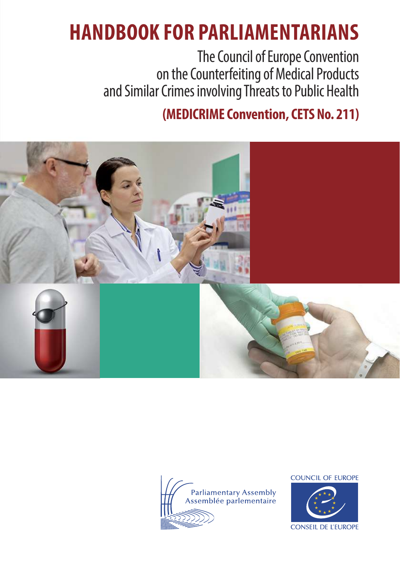## **HANDBOOK FOR PARLIAMENTARIANS**

The Council of Europe Convention on the Counterfeiting of Medical Products and Similar Crimes involving Threats to Public Health

## **(MEDICRIME Convention, CETS No. 211)**





COUNCIL OF FUROPE



**CONSEIL DE L'EUROPE**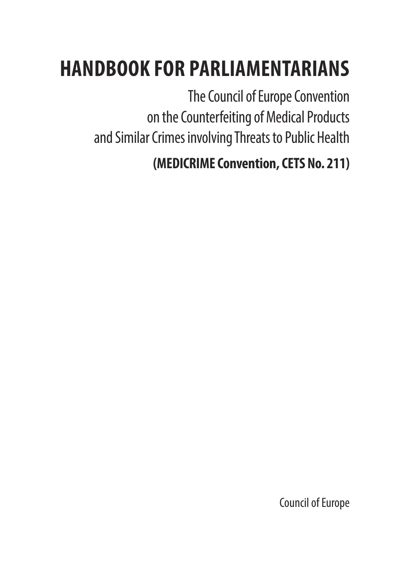# **HANDBOOK FOR PARLIAMENTARIANS**

The Council of Europe Convention on the Counterfeiting of Medical Products and Similar Crimes involving Threats to Public Health

**(MEDICRIME Convention, CETS No. 211)**

Council of Europe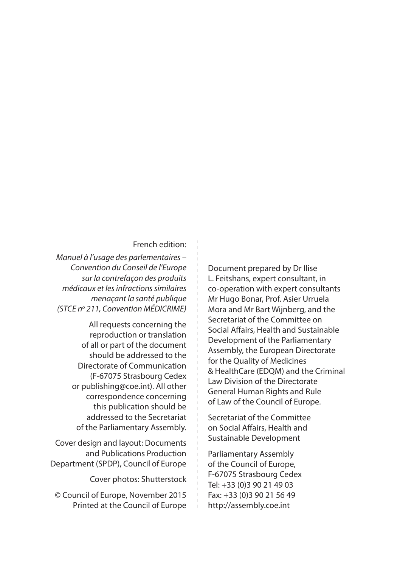#### French edition:

*Manuel à l'usage des parlementaires – Convention du Conseil de l'Europe sur la contrefaçon des produits médicaux et les infractions similaires menaçant la santé publique (STCE n<sup>o</sup> 211, Convention MÉDICRIME)*

> All requests concerning the reproduction or translation of all or part of the document should be addressed to the Directorate of Communication (F-67075 Strasbourg Cedex or publishing@coe.int). All other correspondence concerning this publication should be addressed to the Secretariat of the Parliamentary Assembly.

Cover design and layout: Documents and Publications Production Department (SPDP), Council of Europe

Cover photos: Shutterstock

© Council of Europe, November 2015 Printed at the Council of Europe Document prepared by Dr Ilise L. Feitshans, expert consultant, in co-operation with expert consultants Mr Hugo Bonar, Prof. Asier Urruela Mora and Mr Bart Wijnberg, and the Secretariat of the Committee on Social Affairs, Health and Sustainable Development of the Parliamentary Assembly, the European Directorate for the Quality of Medicines & HealthCare (EDQM) and the Criminal Law Division of the Directorate General Human Rights and Rule of Law of the Council of Europe.

Secretariat of the Committee on Social Affairs, Health and Sustainable Development

Parliamentary Assembly of the Council of Europe, F-67075 Strasbourg Cedex Tel: +33 (0)3 90 21 49 03 Fax: +33 (0)3 90 21 56 49 http://assembly.coe.int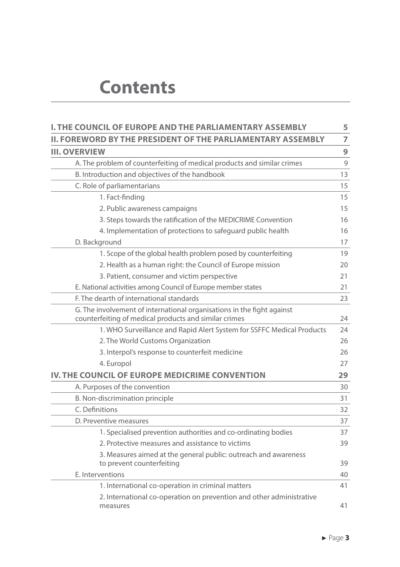## **Contents**

| I. THE COUNCIL OF EUROPE AND THE PARLIAMENTARY ASSEMBLY                                                                         | 5              |
|---------------------------------------------------------------------------------------------------------------------------------|----------------|
| <b>II. FOREWORD BY THE PRESIDENT OF THE PARLIAMENTARY ASSEMBLY</b>                                                              | $\overline{7}$ |
| <b>III. OVERVIEW</b>                                                                                                            | 9              |
| A. The problem of counterfeiting of medical products and similar crimes                                                         | 9              |
| B. Introduction and objectives of the handbook                                                                                  | 13             |
| C. Role of parliamentarians                                                                                                     | 15             |
| 1. Fact-finding                                                                                                                 | 15             |
| 2. Public awareness campaigns                                                                                                   | 15             |
| 3. Steps towards the ratification of the MEDICRIME Convention                                                                   | 16             |
| 4. Implementation of protections to safeguard public health                                                                     | 16             |
| D. Background                                                                                                                   | 17             |
| 1. Scope of the global health problem posed by counterfeiting                                                                   | 19             |
| 2. Health as a human right: the Council of Europe mission                                                                       | 20             |
| 3. Patient, consumer and victim perspective                                                                                     | 21             |
| E. National activities among Council of Europe member states                                                                    | 21             |
| F. The dearth of international standards                                                                                        | 23             |
| G. The involvement of international organisations in the fight against<br>counterfeiting of medical products and similar crimes | 24             |
| 1. WHO Surveillance and Rapid Alert System for SSFFC Medical Products                                                           | 24             |
| 2. The World Customs Organization                                                                                               | 26             |
| 3. Interpol's response to counterfeit medicine                                                                                  | 26             |
| 4. Europol                                                                                                                      | 27             |
| IV. THE COUNCIL OF EUROPE MEDICRIME CONVENTION                                                                                  | 29             |
| A. Purposes of the convention                                                                                                   | 30             |
| B. Non-discrimination principle                                                                                                 | 31             |
| C. Definitions                                                                                                                  | 32             |
| D. Preventive measures                                                                                                          | 37             |
| 1. Specialised prevention authorities and co-ordinating bodies                                                                  | 37             |
| 2. Protective measures and assistance to victims                                                                                | 39             |
| 3. Measures aimed at the general public: outreach and awareness<br>to prevent counterfeiting                                    | 39             |
| E. Interventions                                                                                                                | 40             |
| 1. International co-operation in criminal matters                                                                               | 41             |
| 2. International co-operation on prevention and other administrative<br>measures                                                | 41             |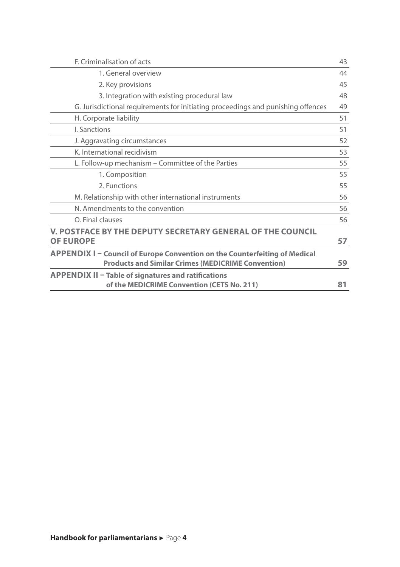| F. Criminalisation of acts                                                                                                              | 43 |
|-----------------------------------------------------------------------------------------------------------------------------------------|----|
| 1. General overview                                                                                                                     | 44 |
| 2. Key provisions                                                                                                                       | 45 |
| 3. Integration with existing procedural law                                                                                             | 48 |
| G. Jurisdictional requirements for initiating proceedings and punishing offences                                                        | 49 |
| H. Corporate liability                                                                                                                  | 51 |
| I. Sanctions                                                                                                                            | 51 |
| J. Aggravating circumstances                                                                                                            | 52 |
| K. International recidivism                                                                                                             | 53 |
| L. Follow-up mechanism – Committee of the Parties                                                                                       | 55 |
| 1. Composition                                                                                                                          | 55 |
| 2. Functions                                                                                                                            | 55 |
| M. Relationship with other international instruments                                                                                    | 56 |
| N. Amendments to the convention                                                                                                         | 56 |
| O. Final clauses                                                                                                                        | 56 |
| V. POSTFACE BY THE DEPUTY SECRETARY GENERAL OF THE COUNCIL                                                                              |    |
| <b>OF EUROPE</b>                                                                                                                        | 57 |
| APPENDIX I – Council of Europe Convention on the Counterfeiting of Medical<br><b>Products and Similar Crimes (MEDICRIME Convention)</b> | 59 |
| APPENDIX II - Table of signatures and ratifications<br>of the MEDICRIME Convention (CETS No. 211)                                       | 81 |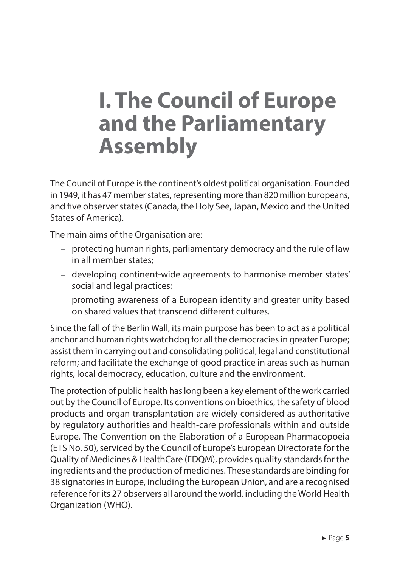## **I. The Council of Europe and the Parliamentary Assembly**

The Council of Europe is the continent's oldest political organisation. Founded in 1949, it has 47 member states, representing more than 820 million Europeans, and five observer states (Canada, the Holy See, Japan, Mexico and the United States of America).

The main aims of the Organisation are:

- protecting human rights, parliamentary democracy and the rule of law in all member states;
- developing continent-wide agreements to harmonise member states' social and legal practices;
- promoting awareness of a European identity and greater unity based on shared values that transcend different cultures.

Since the fall of the Berlin Wall, its main purpose has been to act as a political anchor and human rights watchdog for all the democracies in greater Europe; assist them in carrying out and consolidating political, legal and constitutional reform; and facilitate the exchange of good practice in areas such as human rights, local democracy, education, culture and the environment.

The protection of public health has long been a key element of the work carried out by the Council of Europe. Its conventions on bioethics, the safety of blood products and organ transplantation are widely considered as authoritative by regulatory authorities and health-care professionals within and outside Europe. The Convention on the Elaboration of a European Pharmacopoeia (ETS No. 50), serviced by the Council of Europe's European Directorate for the Quality of Medicines & HealthCare (EDQM), provides quality standards for the ingredients and the production of medicines. These standards are binding for 38 signatories in Europe, including the European Union, and are a recognised reference for its 27 observers all around the world, including the World Health Organization (WHO).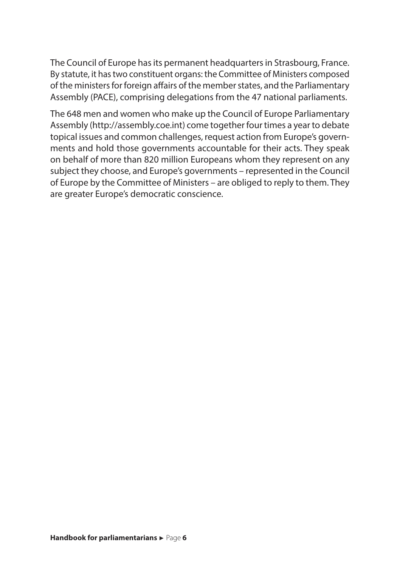The Council of Europe has its permanent headquarters in Strasbourg, France. By statute, it has two constituent organs: the Committee of Ministers composed of the ministers for foreign affairs of the member states, and the Parliamentary Assembly (PACE), comprising delegations from the 47 national parliaments.

The 648 men and women who make up the Council of Europe Parliamentary Assembly (http://assembly.coe.int) come together four times a year to debate topical issues and common challenges, request action from Europe's governments and hold those governments accountable for their acts. They speak on behalf of more than 820 million Europeans whom they represent on any subject they choose, and Europe's governments – represented in the Council of Europe by the Committee of Ministers – are obliged to reply to them. They are greater Europe's democratic conscience.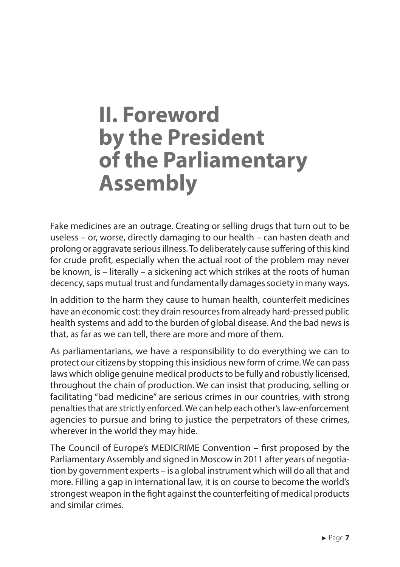## **II. Foreword by the President of the Parliamentary Assembly**

Fake medicines are an outrage. Creating or selling drugs that turn out to be useless – or, worse, directly damaging to our health – can hasten death and prolong or aggravate serious illness. To deliberately cause suffering of this kind for crude profit, especially when the actual root of the problem may never be known, is – literally – a sickening act which strikes at the roots of human decency, saps mutual trust and fundamentally damages society in many ways.

In addition to the harm they cause to human health, counterfeit medicines have an economic cost: they drain resources from already hard-pressed public health systems and add to the burden of global disease. And the bad news is that, as far as we can tell, there are more and more of them.

As parliamentarians, we have a responsibility to do everything we can to protect our citizens by stopping this insidious new form of crime. We can pass laws which oblige genuine medical products to be fully and robustly licensed, throughout the chain of production. We can insist that producing, selling or facilitating "bad medicine" are serious crimes in our countries, with strong penalties that are strictly enforced. We can help each other's law-enforcement agencies to pursue and bring to justice the perpetrators of these crimes, wherever in the world they may hide.

The Council of Europe's MEDICRIME Convention – first proposed by the Parliamentary Assembly and signed in Moscow in 2011 after years of negotiation by government experts – is a global instrument which will do all that and more. Filling a gap in international law, it is on course to become the world's strongest weapon in the fight against the counterfeiting of medical products and similar crimes.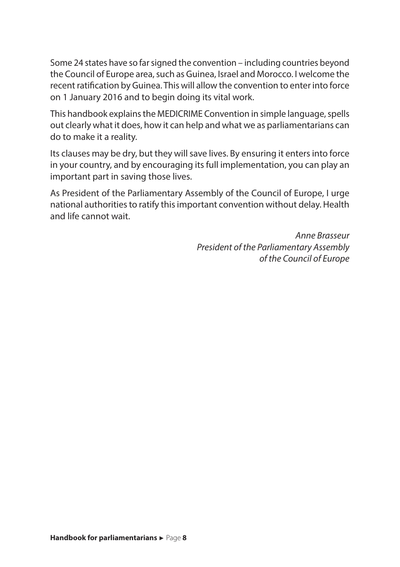Some 24 states have so far signed the convention – including countries beyond the Council of Europe area, such as Guinea, Israel and Morocco. I welcome the recent ratification by Guinea. This will allow the convention to enter into force on 1 January 2016 and to begin doing its vital work.

This handbook explains the MEDICRIME Convention in simple language, spells out clearly what it does, how it can help and what we as parliamentarians can do to make it a reality.

Its clauses may be dry, but they will save lives. By ensuring it enters into force in your country, and by encouraging its full implementation, you can play an important part in saving those lives.

As President of the Parliamentary Assembly of the Council of Europe, I urge national authorities to ratify this important convention without delay. Health and life cannot wait.

> *Anne Brasseur President of the Parliamentary Assembly of the Council of Europe*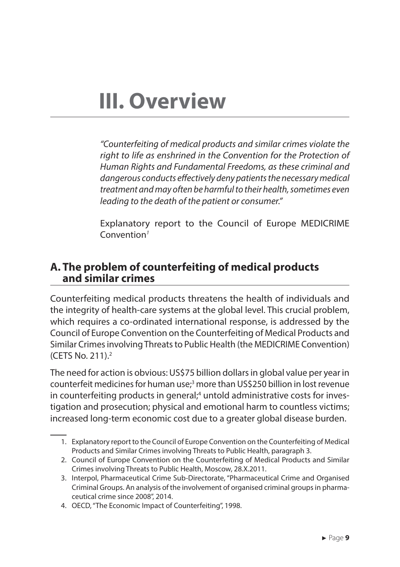## **III. Overview**

*"Counterfeiting of medical products and similar crimes violate the right to life as enshrined in the Convention for the Protection of Human Rights and Fundamental Freedoms, as these criminal and dangerous conducts effectively deny patients the necessary medical treatment and may often be harmful to their health, sometimes even leading to the death of the patient or consumer."*

Explanatory report to the Council of Europe MEDICRIME Convention*<sup>1</sup>*

#### **A. The problem of counterfeiting of medical products and similar crimes**

Counterfeiting medical products threatens the health of individuals and the integrity of health-care systems at the global level. This crucial problem, which requires a co-ordinated international response, is addressed by the Council of Europe Convention on the Counterfeiting of Medical Products and Similar Crimes involving Threats to Public Health (the MEDICRIME Convention) (CETS No. 211).<sup>2</sup>

The need for action is obvious: US\$75 billion dollars in global value per year in counterfeit medicines for human use;<sup>3</sup> more than US\$250 billion in lost revenue in counterfeiting products in general;<sup>4</sup> untold administrative costs for investigation and prosecution; physical and emotional harm to countless victims; increased long-term economic cost due to a greater global disease burden.

<sup>1.</sup> Explanatory report to the Council of Europe Convention on the Counterfeiting of Medical Products and Similar Crimes involving Threats to Public Health, paragraph 3.

<sup>2.</sup> Council of Europe Convention on the Counterfeiting of Medical Products and Similar Crimes involving Threats to Public Health, Moscow, 28.X.2011.

<sup>3.</sup> Interpol, Pharmaceutical Crime Sub-Directorate, "Pharmaceutical Crime and Organised Criminal Groups. An analysis of the involvement of organised criminal groups in pharmaceutical crime since 2008", 2014.

<sup>4.</sup> OECD, "The Economic Impact of Counterfeiting", 1998.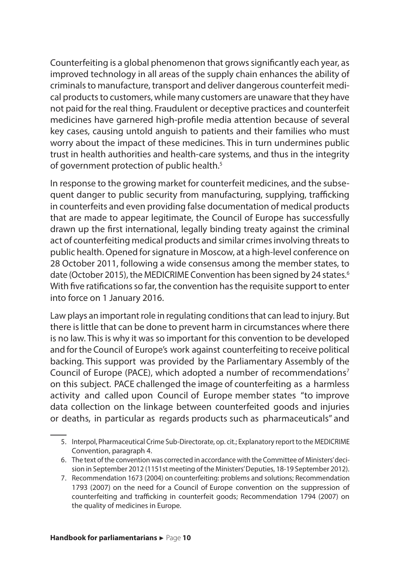Counterfeiting is a global phenomenon that grows significantly each year, as improved technology in all areas of the supply chain enhances the ability of criminals to manufacture, transport and deliver dangerous counterfeit medical products to customers, while many customers are unaware that they have not paid for the real thing. Fraudulent or deceptive practices and counterfeit medicines have garnered high-profile media attention because of several key cases, causing untold anguish to patients and their families who must worry about the impact of these medicines. This in turn undermines public trust in health authorities and health-care systems, and thus in the integrity of government protection of public health.<sup>5</sup>

In response to the growing market for counterfeit medicines, and the subsequent danger to public security from manufacturing, supplying, trafficking in counterfeits and even providing false documentation of medical products that are made to appear legitimate, the Council of Europe has successfully drawn up the first international, legally binding treaty against the criminal act of counterfeiting medical products and similar crimes involving threats to public health. Opened for signature in Moscow, at a high-level conference on 28 October 2011, following a wide consensus among the member states, to date (October 2015), the MEDICRIME Convention has been signed by 24 states.<sup>6</sup> With five ratifications so far, the convention has the requisite support to enter into force on 1 January 2016.

Law plays an important role in regulating conditions that can lead to injury. But there is little that can be done to prevent harm in circumstances where there is no law. This is why it was so important for this convention to be developed and for the Council of Europe's work against counterfeiting to receive political backing. This support was provided by the Parliamentary Assembly of the Council of Europe (PACE), which adopted a number of recommendations<sup>7</sup> on this subject. PACE challenged the image of counterfeiting as a harmless activity and called upon Council of Europe member states "to improve data collection on the linkage between counterfeited goods and injuries or deaths, in particular as regards products such as pharmaceuticals" and

<sup>5.</sup> Interpol, Pharmaceutical Crime Sub-Directorate, op. cit.; Explanatory report to the MEDICRIME Convention, paragraph 4.

<sup>6.</sup> The text of the convention was corrected in accordance with the Committee of Ministers' decision in September 2012 (1151st meeting of the Ministers' Deputies, 18-19 September 2012).

<sup>7.</sup> Recommendation 1673 (2004) on counterfeiting: problems and solutions; Recommendation 1793 (2007) on the need for a Council of Europe convention on the suppression of counterfeiting and trafficking in counterfeit goods; Recommendation 1794 (2007) on the quality of medicines in Europe.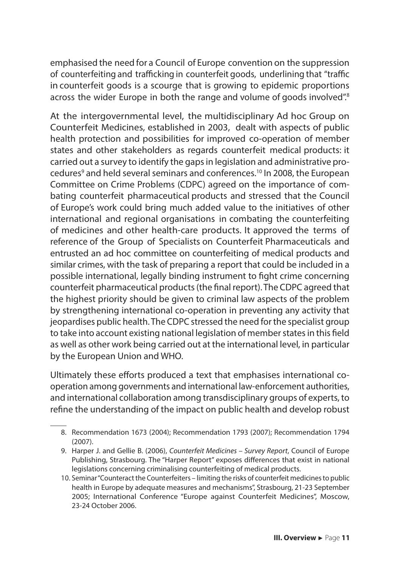emphasised the need for a Council of Europe convention on the suppression of counterfeiting and trafficking in counterfeit goods, underlining that "traffic in counterfeit goods is a scourge that is growing to epidemic proportions across the wider Europe in both the range and volume of goods involved".<sup>8</sup>

At the intergovernmental level, the multidisciplinary Ad hoc Group on Counterfeit Medicines, established in 2003, dealt with aspects of public health protection and possibilities for improved co-operation of member states and other stakeholders as regards counterfeit medical products: it carried out a survey to identify the gaps in legislation and administrative procedures<sup>9</sup> and held several seminars and conferences.<sup>10</sup> In 2008, the European Committee on Crime Problems (CDPC) agreed on the importance of combating counterfeit pharmaceutical products and stressed that the Council of Europe's work could bring much added value to the initiatives of other international and regional organisations in combating the counterfeiting of medicines and other health-care products. It approved the terms of reference of the Group of Specialists on Counterfeit Pharmaceuticals and entrusted an ad hoc committee on counterfeiting of medical products and similar crimes, with the task of preparing a report that could be included in a possible international, legally binding instrument to fight crime concerning counterfeit pharmaceutical products (the final report). The CDPC agreed that the highest priority should be given to criminal law aspects of the problem by strengthening international co-operation in preventing any activity that jeopardises public health. The CDPC stressed the need for the specialist group to take into account existing national legislation of member states in this field as well as other work being carried out at the international level, in particular by the European Union and WHO.

Ultimately these efforts produced a text that emphasises international cooperation among governments and international law-enforcement authorities, and international collaboration among transdisciplinary groups of experts, to refine the understanding of the impact on public health and develop robust

- 8. Recommendation 1673 (2004); Recommendation 1793 (2007); Recommendation 1794 (2007).
- 9. Harper J. and Gellie B. (2006), *Counterfeit Medicines Survey Report*, Council of Europe Publishing, Strasbourg. The "Harper Report" exposes differences that exist in national legislations concerning criminalising counterfeiting of medical products.
- 10. Seminar "Counteract the Counterfeiters limiting the risks of counterfeit medicines to public health in Europe by adequate measures and mechanisms", Strasbourg, 21-23 September 2005; International Conference "Europe against Counterfeit Medicines", Moscow, 23-24 October 2006.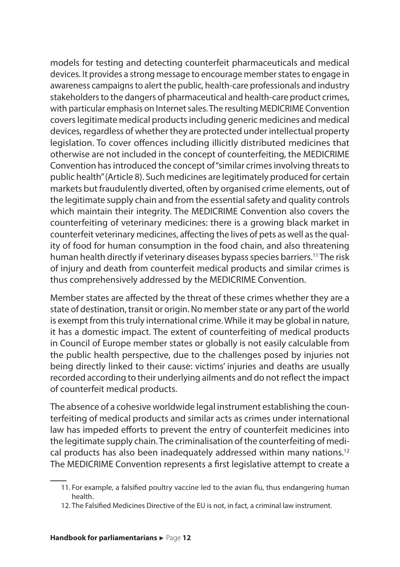models for testing and detecting counterfeit pharmaceuticals and medical devices. It provides a strong message to encourage member states to engage in awareness campaigns to alert the public, health-care professionals and industry stakeholders to the dangers of pharmaceutical and health-care product crimes, with particular emphasis on Internet sales. The resulting MEDICRIME Convention covers legitimate medical products including generic medicines and medical devices, regardless of whether they are protected under intellectual property legislation. To cover offences including illicitly distributed medicines that otherwise are not included in the concept of counterfeiting, the MEDICRIME Convention has introduced the concept of "similar crimes involving threats to public health" (Article 8). Such medicines are legitimately produced for certain markets but fraudulently diverted, often by organised crime elements, out of the legitimate supply chain and from the essential safety and quality controls which maintain their integrity. The MEDICRIME Convention also covers the counterfeiting of veterinary medicines: there is a growing black market in counterfeit veterinary medicines, affecting the lives of pets as well as the quality of food for human consumption in the food chain, and also threatening human health directly if veterinary diseases bypass species barriers.<sup>11</sup> The risk of injury and death from counterfeit medical products and similar crimes is thus comprehensively addressed by the MEDICRIME Convention.

Member states are affected by the threat of these crimes whether they are a state of destination, transit or origin. No member state or any part of the world is exempt from this truly international crime. While it may be global in nature, it has a domestic impact. The extent of counterfeiting of medical products in Council of Europe member states or globally is not easily calculable from the public health perspective, due to the challenges posed by injuries not being directly linked to their cause: victims' injuries and deaths are usually recorded according to their underlying ailments and do not reflect the impact of counterfeit medical products.

The absence of a cohesive worldwide legal instrument establishing the counterfeiting of medical products and similar acts as crimes under international law has impeded efforts to prevent the entry of counterfeit medicines into the legitimate supply chain. The criminalisation of the counterfeiting of medical products has also been inadequately addressed within many nations.<sup>12</sup> The MEDICRIME Convention represents a first legislative attempt to create a

<sup>11.</sup> For example, a falsified poultry vaccine led to the avian flu, thus endangering human health.

<sup>12.</sup> The Falsified Medicines Directive of the EU is not, in fact, a criminal law instrument.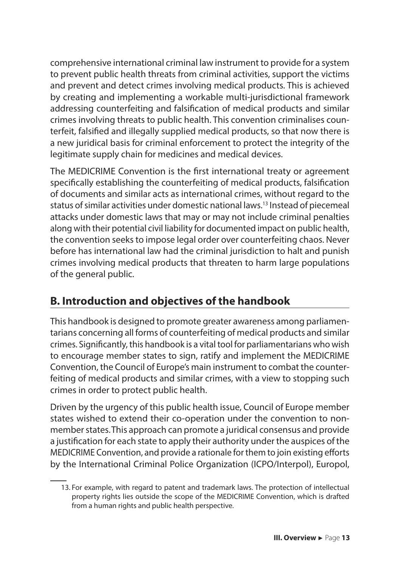comprehensive international criminal law instrument to provide for a system to prevent public health threats from criminal activities, support the victims and prevent and detect crimes involving medical products. This is achieved by creating and implementing a workable multi-jurisdictional framework addressing counterfeiting and falsification of medical products and similar crimes involving threats to public health. This convention criminalises counterfeit, falsified and illegally supplied medical products, so that now there is a new juridical basis for criminal enforcement to protect the integrity of the legitimate supply chain for medicines and medical devices.

The MEDICRIME Convention is the first international treaty or agreement specifically establishing the counterfeiting of medical products, falsification of documents and similar acts as international crimes, without regard to the status of similar activities under domestic national laws.<sup>13</sup> Instead of piecemeal attacks under domestic laws that may or may not include criminal penalties along with their potential civil liability for documented impact on public health, the convention seeks to impose legal order over counterfeiting chaos. Never before has international law had the criminal jurisdiction to halt and punish crimes involving medical products that threaten to harm large populations of the general public.

### **B. Introduction and objectives of the handbook**

This handbook is designed to promote greater awareness among parliamentarians concerning all forms of counterfeiting of medical products and similar crimes. Significantly, this handbook is a vital tool for parliamentarians who wish to encourage member states to sign, ratify and implement the MEDICRIME Convention, the Council of Europe's main instrument to combat the counterfeiting of medical products and similar crimes, with a view to stopping such crimes in order to protect public health.

Driven by the urgency of this public health issue, Council of Europe member states wished to extend their co-operation under the convention to nonmember states.This approach can promote a juridical consensus and provide a justification for each state to apply their authority under the auspices of the MEDICRIME Convention, and provide a rationale for them to join existing efforts by the International Criminal Police Organization (ICPO/Interpol), Europol,

<sup>13.</sup> For example, with regard to patent and trademark laws. The protection of intellectual property rights lies outside the scope of the MEDICRIME Convention, which is drafted from a human rights and public health perspective.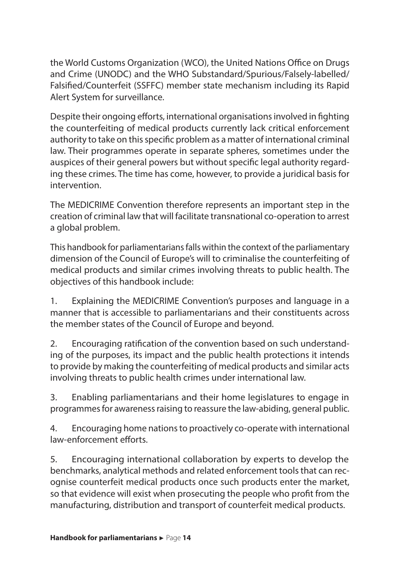the World Customs Organization (WCO), the United Nations Office on Drugs and Crime (UNODC) and the WHO Substandard/Spurious/Falsely-labelled/ Falsified/Counterfeit (SSFFC) member state mechanism including its Rapid Alert System for surveillance.

Despite their ongoing efforts, international organisations involved in fighting the counterfeiting of medical products currently lack critical enforcement authority to take on this specific problem as a matter of international criminal law. Their programmes operate in separate spheres, sometimes under the auspices of their general powers but without specific legal authority regarding these crimes. The time has come, however, to provide a juridical basis for intervention.

The MEDICRIME Convention therefore represents an important step in the creation of criminal law that will facilitate transnational co-operation to arrest a global problem.

This handbook for parliamentarians falls within the context of the parliamentary dimension of the Council of Europe's will to criminalise the counterfeiting of medical products and similar crimes involving threats to public health. The objectives of this handbook include:

1. Explaining the MEDICRIME Convention's purposes and language in a manner that is accessible to parliamentarians and their constituents across the member states of the Council of Europe and beyond.

2. Encouraging ratification of the convention based on such understanding of the purposes, its impact and the public health protections it intends to provide by making the counterfeiting of medical products and similar acts involving threats to public health crimes under international law.

3. Enabling parliamentarians and their home legislatures to engage in programmes for awareness raising to reassure the law-abiding, general public.

4. Encouraging home nations to proactively co-operate with international law-enforcement efforts.

5. Encouraging international collaboration by experts to develop the benchmarks, analytical methods and related enforcement tools that can recognise counterfeit medical products once such products enter the market, so that evidence will exist when prosecuting the people who profit from the manufacturing, distribution and transport of counterfeit medical products.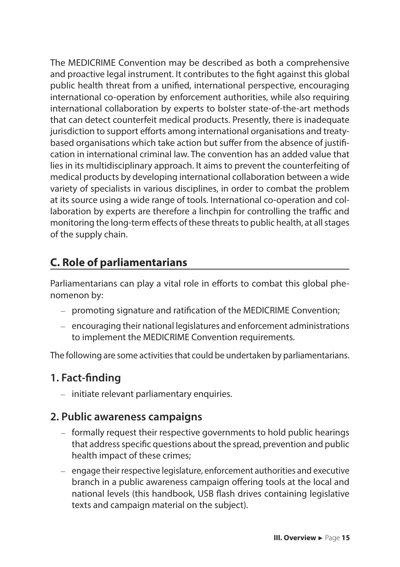The MEDICRIME Convention may be described as both a comprehensive and proactive legal instrument. It contributes to the fight against this global public health threat from a unified, international perspective, encouraging international co-operation by enforcement authorities, while also requiring international collaboration by experts to bolster state-of-the-art methods that can detect counterfeit medical products. Presently, there is inadequate jurisdiction to support efforts among international organisations and treatybased organisations which take action but suffer from the absence of justification in international criminal law. The convention has an added value that lies in its multidisciplinary approach. It aims to prevent the counterfeiting of medical products by developing international collaboration between a wide variety of specialists in various disciplines, in order to combat the problem at its source using a wide range of tools. International co-operation and collaboration by experts are therefore a linchpin for controlling the traffic and monitoring the long-term effects of these threats to public health, at all stages of the supply chain.

### **C. Role of parliamentarians**

Parliamentarians can play a vital role in efforts to combat this global phenomenon by:

- promoting signature and ratification of the MEDICRIME Convention;
- encouraging their national legislatures and enforcement administrations to implement the MEDICRIME Convention requirements.

The following are some activities that could be undertaken by parliamentarians.

#### **1. Fact-finding**

– initiate relevant parliamentary enquiries.

#### **2. Public awareness campaigns**

- formally request their respective governments to hold public hearings that address specific questions about the spread, prevention and public health impact of these crimes;
- engage their respective legislature, enforcement authorities and executive branch in a public awareness campaign offering tools at the local and national levels (this handbook, USB flash drives containing legislative texts and campaign material on the subject).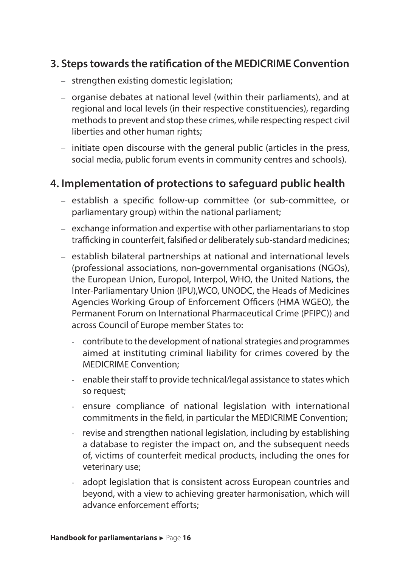#### **3. Steps towards the ratification of the MEDICRIME Convention**

- strengthen existing domestic legislation;
- organise debates at national level (within their parliaments), and at regional and local levels (in their respective constituencies), regarding methods to prevent and stop these crimes, while respecting respect civil liberties and other human rights;
- initiate open discourse with the general public (articles in the press, social media, public forum events in community centres and schools).

#### **4. Implementation of protections to safeguard public health**

- establish a specific follow-up committee (or sub-committee, or parliamentary group) within the national parliament;
- exchange information and expertise with other parliamentarians to stop trafficking in counterfeit, falsified or deliberately sub-standard medicines;
- establish bilateral partnerships at national and international levels (professional associations, non-governmental organisations (NGOs), the European Union, Europol, Interpol, WHO, the United Nations, the Inter-Parliamentary Union (IPU),WCO, UNODC, the Heads of Medicines Agencies Working Group of Enforcement Officers (HMA WGEO), the Permanent Forum on International Pharmaceutical Crime (PFIPC)) and across Council of Europe member States to:
	- contribute to the development of national strategies and programmes aimed at instituting criminal liability for crimes covered by the MEDICRIME Convention;
	- enable their staff to provide technical/legal assistance to states which so request;
	- ensure compliance of national legislation with international commitments in the field, in particular the MEDICRIME Convention;
	- revise and strengthen national legislation, including by establishing a database to register the impact on, and the subsequent needs of, victims of counterfeit medical products, including the ones for veterinary use;
	- adopt legislation that is consistent across European countries and beyond, with a view to achieving greater harmonisation, which will advance enforcement efforts;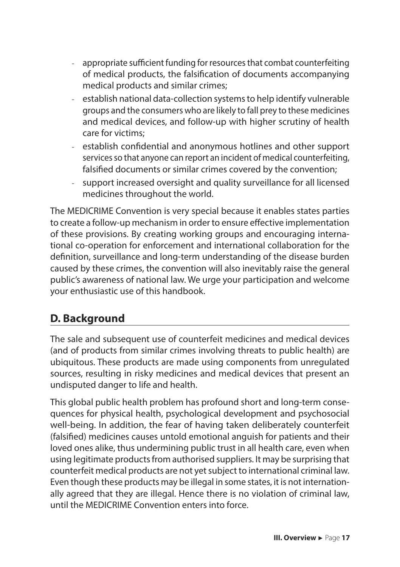- appropriate sufficient funding for resources that combat counterfeiting of medical products, the falsification of documents accompanying medical products and similar crimes;
- establish national data-collection systems to help identify vulnerable groups and the consumers who are likely to fall prey to these medicines and medical devices, and follow-up with higher scrutiny of health care for victims;
- establish confidential and anonymous hotlines and other support services so that anyone can report an incident of medical counterfeiting, falsified documents or similar crimes covered by the convention;
- support increased oversight and quality surveillance for all licensed medicines throughout the world.

The MEDICRIME Convention is very special because it enables states parties to create a follow-up mechanism in order to ensure effective implementation of these provisions. By creating working groups and encouraging international co-operation for enforcement and international collaboration for the definition, surveillance and long-term understanding of the disease burden caused by these crimes, the convention will also inevitably raise the general public's awareness of national law. We urge your participation and welcome your enthusiastic use of this handbook.

### **D. Background**

The sale and subsequent use of counterfeit medicines and medical devices (and of products from similar crimes involving threats to public health) are ubiquitous. These products are made using components from unregulated sources, resulting in risky medicines and medical devices that present an undisputed danger to life and health.

This global public health problem has profound short and long-term consequences for physical health, psychological development and psychosocial well-being. In addition, the fear of having taken deliberately counterfeit (falsified) medicines causes untold emotional anguish for patients and their loved ones alike, thus undermining public trust in all health care, even when using legitimate products from authorised suppliers. It may be surprising that counterfeit medical products are not yet subject to international criminal law. Even though these products may be illegal in some states, it is not internationally agreed that they are illegal. Hence there is no violation of criminal law, until the MEDICRIME Convention enters into force.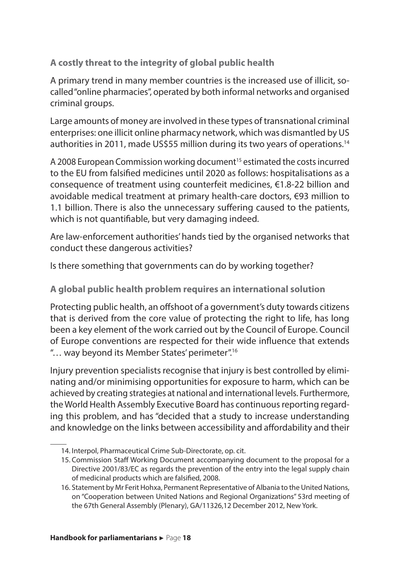**A costly threat to the integrity of global public health**

A primary trend in many member countries is the increased use of illicit, socalled "online pharmacies", operated by both informal networks and organised criminal groups.

Large amounts of money are involved in these types of transnational criminal enterprises: one illicit online pharmacy network, which was dismantled by US authorities in 2011, made US\$55 million during its two years of operations.<sup>14</sup>

A 2008 European Commission working document<sup>15</sup> estimated the costs incurred to the EU from falsified medicines until 2020 as follows: hospitalisations as a consequence of treatment using counterfeit medicines, €1.8-22 billion and avoidable medical treatment at primary health-care doctors, €93 million to 1.1 billion. There is also the unnecessary suffering caused to the patients, which is not quantifiable, but very damaging indeed.

Are law-enforcement authorities' hands tied by the organised networks that conduct these dangerous activities?

Is there something that governments can do by working together?

**A global public health problem requires an international solution**

Protecting public health, an offshoot of a government's duty towards citizens that is derived from the core value of protecting the right to life, has long been a key element of the work carried out by the Council of Europe. Council of Europe conventions are respected for their wide influence that extends "… way beyond its Member States' perimeter".<sup>16</sup>

Injury prevention specialists recognise that injury is best controlled by eliminating and/or minimising opportunities for exposure to harm, which can be achieved by creating strategies at national and international levels. Furthermore, the World Health Assembly Executive Board has continuous reporting regarding this problem, and has "decided that a study to increase understanding and knowledge on the links between accessibility and affordability and their

<sup>14.</sup> Interpol, Pharmaceutical Crime Sub-Directorate, op. cit.

<sup>15.</sup> Commission Staff Working Document accompanying document to the proposal for a Directive 2001/83/EC as regards the prevention of the entry into the legal supply chain of medicinal products which are falsified, 2008.

<sup>16.</sup> Statement by Mr Ferit Hohxa, Permanent Representative of Albania to the United Nations, on "Cooperation between United Nations and Regional Organizations" 53rd meeting of the 67th General Assembly (Plenary), GA/11326,12 December 2012, New York.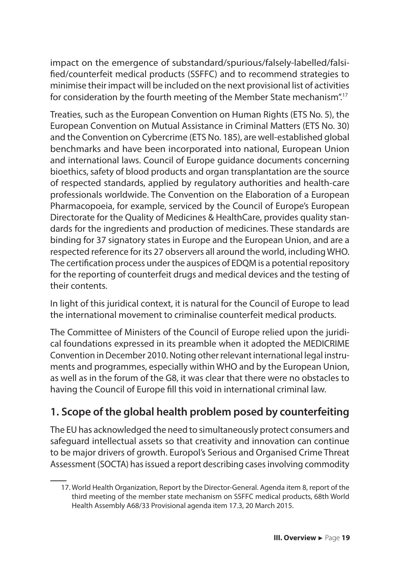impact on the emergence of substandard/spurious/falsely-labelled/falsified/counterfeit medical products (SSFFC) and to recommend strategies to minimise their impact will be included on the next provisional list of activities for consideration by the fourth meeting of the Member State mechanism".<sup>17</sup>

Treaties, such as the European Convention on Human Rights (ETS No. 5), the European Convention on Mutual Assistance in Criminal Matters (ETS No. 30) and the Convention on Cybercrime (ETS No. 185), are well-established global benchmarks and have been incorporated into national, European Union and international laws. Council of Europe guidance documents concerning bioethics, safety of blood products and organ transplantation are the source of respected standards, applied by regulatory authorities and health-care professionals worldwide. The Convention on the Elaboration of a European Pharmacopoeia, for example, serviced by the Council of Europe's European Directorate for the Quality of Medicines & HealthCare, provides quality standards for the ingredients and production of medicines. These standards are binding for 37 signatory states in Europe and the European Union, and are a respected reference for its 27 observers all around the world, including WHO. The certification process under the auspices of EDQM is a potential repository for the reporting of counterfeit drugs and medical devices and the testing of their contents.

In light of this juridical context, it is natural for the Council of Europe to lead the international movement to criminalise counterfeit medical products.

The Committee of Ministers of the Council of Europe relied upon the juridical foundations expressed in its preamble when it adopted the MEDICRIME Convention in December 2010. Noting other relevant international legal instruments and programmes, especially within WHO and by the European Union, as well as in the forum of the G8, it was clear that there were no obstacles to having the Council of Europe fill this void in international criminal law.

### **1. Scope of the global health problem posed by counterfeiting**

The EU has acknowledged the need to simultaneously protect consumers and safeguard intellectual assets so that creativity and innovation can continue to be major drivers of growth. Europol's Serious and Organised Crime Threat Assessment (SOCTA) has issued a report describing cases involving commodity

<sup>17.</sup> World Health Organization, Report by the Director-General. Agenda item 8, report of the third meeting of the member state mechanism on SSFFC medical products, 68th World Health Assembly A68/33 Provisional agenda item 17.3, 20 March 2015.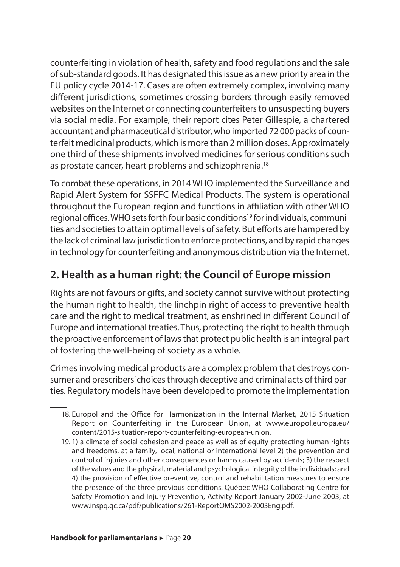counterfeiting in violation of health, safety and food regulations and the sale of sub-standard goods. It has designated this issue as a new priority area in the EU policy cycle 2014-17. Cases are often extremely complex, involving many different jurisdictions, sometimes crossing borders through easily removed websites on the Internet or connecting counterfeiters to unsuspecting buyers via social media. For example, their report cites Peter Gillespie, a chartered accountant and pharmaceutical distributor, who imported 72 000 packs of counterfeit medicinal products, which is more than 2 million doses. Approximately one third of these shipments involved medicines for serious conditions such as prostate cancer, heart problems and schizophrenia.<sup>18</sup>

To combat these operations, in 2014 WHO implemented the Surveillance and Rapid Alert System for SSFFC Medical Products. The system is operational throughout the European region and functions in affiliation with other WHO regional offices. WHO sets forth four basic conditions<sup>19</sup> for individuals, communities and societies to attain optimal levels of safety. But efforts are hampered by the lack of criminal law jurisdiction to enforce protections, and by rapid changes in technology for counterfeiting and anonymous distribution via the Internet.

### **2. Health as a human right: the Council of Europe mission**

Rights are not favours or gifts, and society cannot survive without protecting the human right to health, the linchpin right of access to preventive health care and the right to medical treatment, as enshrined in different Council of Europe and international treaties. Thus, protecting the right to health through the proactive enforcement of laws that protect public health is an integral part of fostering the well-being of society as a whole.

Crimes involving medical products are a complex problem that destroys consumer and prescribers' choices through deceptive and criminal acts of third parties. Regulatory models have been developed to promote the implementation

<sup>18.</sup> Europol and the Office for Harmonization in the Internal Market, 2015 Situation Report on Counterfeiting in the European Union, at www.europol.europa.eu/ content/2015-situation-report-counterfeiting-european-union.

<sup>19.</sup> 1) a climate of social cohesion and peace as well as of equity protecting human rights and freedoms, at a family, local, national or international level 2) the prevention and control of injuries and other consequences or harms caused by accidents; 3) the respect of the values and the physical, material and psychological integrity of the individuals; and 4) the provision of effective preventive, control and rehabilitation measures to ensure the presence of the three previous conditions. Québec WHO Collaborating Centre for Safety Promotion and Injury Prevention, Activity Report January 2002-June 2003, at www.inspq.qc.ca/pdf/publications/261-ReportOMS2002-2003Eng.pdf.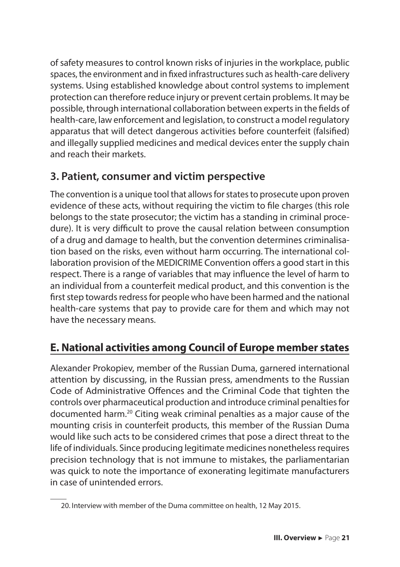of safety measures to control known risks of injuries in the workplace, public spaces, the environment and in fixed infrastructures such as health-care delivery systems. Using established knowledge about control systems to implement protection can therefore reduce injury or prevent certain problems. It may be possible, through international collaboration between experts in the fields of health-care, law enforcement and legislation, to construct a model regulatory apparatus that will detect dangerous activities before counterfeit (falsified) and illegally supplied medicines and medical devices enter the supply chain and reach their markets.

### **3. Patient, consumer and victim perspective**

The convention is a unique tool that allows for states to prosecute upon proven evidence of these acts, without requiring the victim to file charges (this role belongs to the state prosecutor; the victim has a standing in criminal procedure). It is very difficult to prove the causal relation between consumption of a drug and damage to health, but the convention determines criminalisation based on the risks, even without harm occurring. The international collaboration provision of the MEDICRIME Convention offers a good start in this respect. There is a range of variables that may influence the level of harm to an individual from a counterfeit medical product, and this convention is the first step towards redress for people who have been harmed and the national health-care systems that pay to provide care for them and which may not have the necessary means.

### **E. National activities among Council of Europe member states**

Alexander Prokopiev, member of the Russian Duma, garnered international attention by discussing, in the Russian press, amendments to the Russian Code of Administrative Offences and the Criminal Code that tighten the controls over pharmaceutical production and introduce criminal penalties for documented harm.<sup>20</sup> Citing weak criminal penalties as a major cause of the mounting crisis in counterfeit products, this member of the Russian Duma would like such acts to be considered crimes that pose a direct threat to the life of individuals. Since producing legitimate medicines nonetheless requires precision technology that is not immune to mistakes, the parliamentarian was quick to note the importance of exonerating legitimate manufacturers in case of unintended errors.

<sup>20.</sup> Interview with member of the Duma committee on health, 12 May 2015.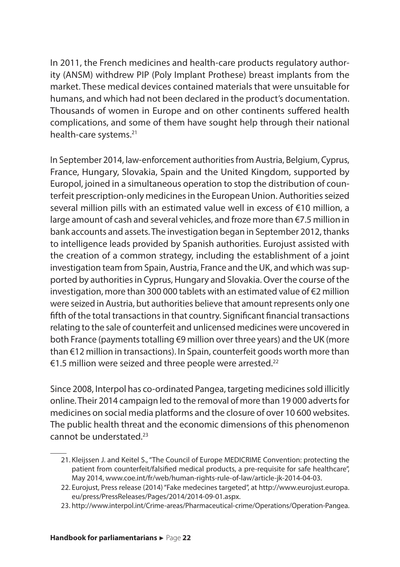In 2011, the French medicines and health-care products regulatory authority (ANSM) withdrew PIP (Poly Implant Prothese) breast implants from the market. These medical devices contained materials that were unsuitable for humans, and which had not been declared in the product's documentation. Thousands of women in Europe and on other continents suffered health complications, and some of them have sought help through their national health-care systems.<sup>21</sup>

In September 2014, law-enforcement authorities from Austria, Belgium, Cyprus, France, Hungary, Slovakia, Spain and the United Kingdom, supported by Europol, joined in a simultaneous operation to stop the distribution of counterfeit prescription-only medicines in the European Union. Authorities seized several million pills with an estimated value well in excess of €10 million, a large amount of cash and several vehicles, and froze more than €7.5 million in bank accounts and assets. The investigation began in September 2012, thanks to intelligence leads provided by Spanish authorities. Eurojust assisted with the creation of a common strategy, including the establishment of a joint investigation team from Spain, Austria, France and the UK, and which was supported by authorities in Cyprus, Hungary and Slovakia. Over the course of the investigation, more than 300 000 tablets with an estimated value of €2 million were seized in Austria, but authorities believe that amount represents only one fifth of the total transactions in that country. Significant financial transactions relating to the sale of counterfeit and unlicensed medicines were uncovered in both France (payments totalling €9 million over three years) and the UK (more than €12 million in transactions). In Spain, counterfeit goods worth more than €1.5 million were seized and three people were arrested.<sup>22</sup>

Since 2008, Interpol has co-ordinated Pangea, targeting medicines sold illicitly online. Their 2014 campaign led to the removal of more than 19 000 adverts for medicines on social media platforms and the closure of over 10 600 websites. The public health threat and the economic dimensions of this phenomenon cannot be understated.<sup>23</sup>

<sup>21.</sup> Kleijssen J. and Keitel S., "The Council of Europe MEDICRIME Convention: protecting the patient from counterfeit/falsified medical products, a pre-requisite for safe healthcare", May 2014, www.coe.int/fr/web/human-rights-rule-of-law/article-jk-2014-04-03.

<sup>22.</sup> Eurojust, Press release (2014) "Fake medecines targeted", at http://www.eurojust.europa. eu/press/PressReleases/Pages/2014/2014-09-01.aspx.

<sup>23.</sup> http://www.interpol.int/Crime-areas/Pharmaceutical-crime/Operations/Operation-Pangea.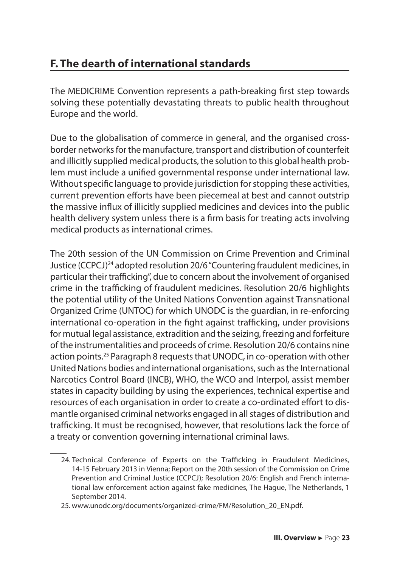### **F. The dearth of international standards**

The MEDICRIME Convention represents a path-breaking first step towards solving these potentially devastating threats to public health throughout Europe and the world.

Due to the globalisation of commerce in general, and the organised crossborder networks for the manufacture, transport and distribution of counterfeit and illicitly supplied medical products, the solution to this global health problem must include a unified governmental response under international law. Without specific language to provide jurisdiction for stopping these activities, current prevention efforts have been piecemeal at best and cannot outstrip the massive influx of illicitly supplied medicines and devices into the public health delivery system unless there is a firm basis for treating acts involving medical products as international crimes.

The 20th session of the UN Commission on Crime Prevention and Criminal Justice (CCPCJ)<sup>24</sup> adopted resolution 20/6 "Countering fraudulent medicines, in particular their trafficking", due to concern about the involvement of organised crime in the trafficking of fraudulent medicines. Resolution 20/6 highlights the potential utility of the United Nations Convention against Transnational Organized Crime (UNTOC) for which UNODC is the guardian, in re-enforcing international co-operation in the fight against trafficking, under provisions for mutual legal assistance, extradition and the seizing, freezing and forfeiture of the instrumentalities and proceeds of crime. Resolution 20/6 contains nine action points.<sup>25</sup> Paragraph 8 requests that UNODC, in co-operation with other United Nations bodies and international organisations, such as the International Narcotics Control Board (INCB), WHO, the WCO and Interpol, assist member states in capacity building by using the experiences, technical expertise and resources of each organisation in order to create a co-ordinated effort to dismantle organised criminal networks engaged in all stages of distribution and trafficking. It must be recognised, however, that resolutions lack the force of a treaty or convention governing international criminal laws.

<sup>24.</sup> Technical Conference of Experts on the Trafficking in Fraudulent Medicines, 14-15 February 2013 in Vienna; Report on the 20th session of the Commission on Crime Prevention and Criminal Justice (CCPCJ); Resolution 20/6: English and French international law enforcement action against fake medicines, The Hague, The Netherlands, 1 September 2014.

<sup>25.</sup> www.unodc.org/documents/organized-crime/FM/Resolution\_20\_EN.pdf.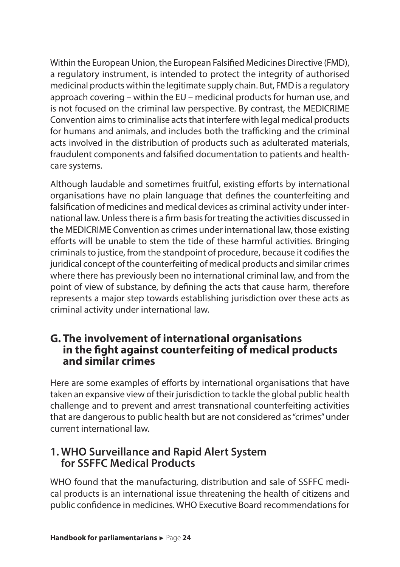Within the European Union, the European Falsified Medicines Directive (FMD), a regulatory instrument, is intended to protect the integrity of authorised medicinal products within the legitimate supply chain. But, FMD is a regulatory approach covering – within the EU – medicinal products for human use, and is not focused on the criminal law perspective. By contrast, the MEDICRIME Convention aims to criminalise acts that interfere with legal medical products for humans and animals, and includes both the trafficking and the criminal acts involved in the distribution of products such as adulterated materials, fraudulent components and falsified documentation to patients and healthcare systems.

Although laudable and sometimes fruitful, existing efforts by international organisations have no plain language that defines the counterfeiting and falsification of medicines and medical devices as criminal activity under international law. Unless there is a firm basis for treating the activities discussed in the MEDICRIME Convention as crimes under international law, those existing efforts will be unable to stem the tide of these harmful activities. Bringing criminals to justice, from the standpoint of procedure, because it codifies the juridical concept of the counterfeiting of medical products and similar crimes where there has previously been no international criminal law, and from the point of view of substance, by defining the acts that cause harm, therefore represents a major step towards establishing jurisdiction over these acts as criminal activity under international law.

#### **G. The involvement of international organisations in the fight against counterfeiting of medical products and similar crimes**

Here are some examples of efforts by international organisations that have taken an expansive view of their jurisdiction to tackle the global public health challenge and to prevent and arrest transnational counterfeiting activities that are dangerous to public health but are not considered as "crimes" under current international law.

#### **1. WHO Surveillance and Rapid Alert System for SSFFC Medical Products**

WHO found that the manufacturing, distribution and sale of SSFFC medical products is an international issue threatening the health of citizens and public confidence in medicines. WHO Executive Board recommendations for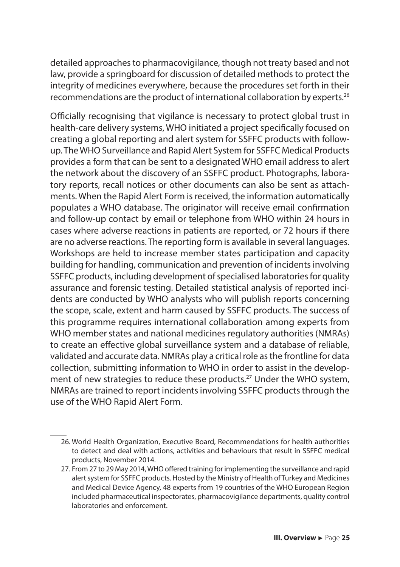detailed approaches to pharmacovigilance, though not treaty based and not law, provide a springboard for discussion of detailed methods to protect the integrity of medicines everywhere, because the procedures set forth in their recommendations are the product of international collaboration by experts.<sup>26</sup>

Officially recognising that vigilance is necessary to protect global trust in health-care delivery systems, WHO initiated a project specifically focused on creating a global reporting and alert system for SSFFC products with followup. The WHO Surveillance and Rapid Alert System for SSFFC Medical Products provides a form that can be sent to a designated WHO email address to alert the network about the discovery of an SSFFC product. Photographs, laboratory reports, recall notices or other documents can also be sent as attachments. When the Rapid Alert Form is received, the information automatically populates a WHO database. The originator will receive email confirmation and follow-up contact by email or telephone from WHO within 24 hours in cases where adverse reactions in patients are reported, or 72 hours if there are no adverse reactions. The reporting form is available in several languages. Workshops are held to increase member states participation and capacity building for handling, communication and prevention of incidents involving SSFFC products, including development of specialised laboratories for quality assurance and forensic testing. Detailed statistical analysis of reported incidents are conducted by WHO analysts who will publish reports concerning the scope, scale, extent and harm caused by SSFFC products. The success of this programme requires international collaboration among experts from WHO member states and national medicines regulatory authorities (NMRAs) to create an effective global surveillance system and a database of reliable, validated and accurate data. NMRAs play a critical role as the frontline for data collection, submitting information to WHO in order to assist in the development of new strategies to reduce these products.<sup>27</sup> Under the WHO system, NMRAs are trained to report incidents involving SSFFC products through the use of the WHO Rapid Alert Form.

<sup>26.</sup> World Health Organization, Executive Board, Recommendations for health authorities to detect and deal with actions, activities and behaviours that result in SSFFC medical products, November 2014.

<sup>27.</sup> From 27 to 29 May 2014, WHO offered training for implementing the surveillance and rapid alert system for SSFFC products. Hosted by the Ministry of Health of Turkey and Medicines and Medical Device Agency, 48 experts from 19 countries of the WHO European Region included pharmaceutical inspectorates, pharmacovigilance departments, quality control laboratories and enforcement.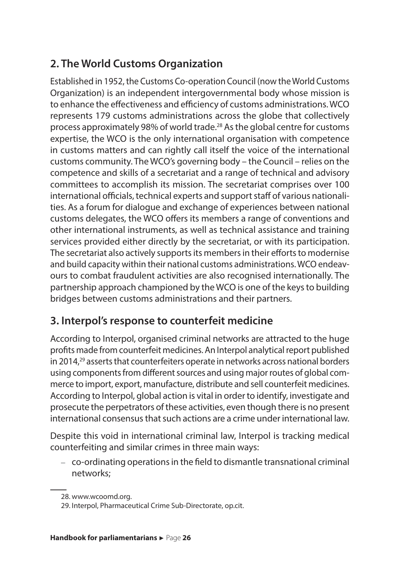## **2. The World Customs Organization**

Established in 1952, the Customs Co-operation Council (now the World Customs Organization) is an independent intergovernmental body whose mission is to enhance the effectiveness and efficiency of customs administrations. WCO represents 179 customs administrations across the globe that collectively process approximately 98% of world trade.<sup>28</sup> As the global centre for customs expertise, the WCO is the only international organisation with competence in customs matters and can rightly call itself the voice of the international customs community. The WCO's governing body – the Council – relies on the competence and skills of a secretariat and a range of technical and advisory committees to accomplish its mission. The secretariat comprises over 100 international officials, technical experts and support staff of various nationalities. As a forum for dialogue and exchange of experiences between national customs delegates, the WCO offers its members a range of conventions and other international instruments, as well as technical assistance and training services provided either directly by the secretariat, or with its participation. The secretariat also actively supports its members in their efforts to modernise and build capacity within their national customs administrations. WCO endeavours to combat fraudulent activities are also recognised internationally. The partnership approach championed by the WCO is one of the keys to building bridges between customs administrations and their partners.

### **3. Interpol's response to counterfeit medicine**

According to Interpol, organised criminal networks are attracted to the huge profits made from counterfeit medicines. An Interpol analytical report published in 2014,<sup>29</sup> asserts that counterfeiters operate in networks across national borders using components from different sources and using major routes of global commerce to import, export, manufacture, distribute and sell counterfeit medicines. According to Interpol, global action is vital in order to identify, investigate and prosecute the perpetrators of these activities, even though there is no present international consensus that such actions are a crime under international law.

Despite this void in international criminal law, Interpol is tracking medical counterfeiting and similar crimes in three main ways:

– co-ordinating operations in the field to dismantle transnational criminal networks;

<sup>28.</sup> www.wcoomd.org.

<sup>29.</sup> Interpol, Pharmaceutical Crime Sub-Directorate, op.cit.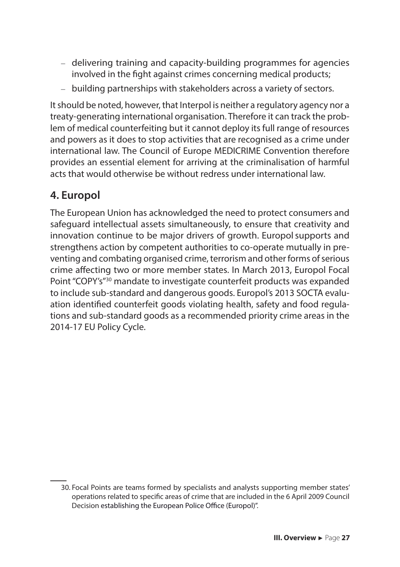- delivering training and capacity-building programmes for agencies involved in the fight against crimes concerning medical products;
- building partnerships with stakeholders across a variety of sectors.

It should be noted, however, that Interpol is neither a regulatory agency nor a treaty-generating international organisation. Therefore it can track the problem of medical counterfeiting but it cannot deploy its full range of resources and powers as it does to stop activities that are recognised as a crime under international law. The Council of Europe MEDICRIME Convention therefore provides an essential element for arriving at the criminalisation of harmful acts that would otherwise be without redress under international law.

### **4. Europol**

The European Union has acknowledged the need to protect consumers and safeguard intellectual assets simultaneously, to ensure that creativity and innovation continue to be major drivers of growth. Europolsupports and strengthens action by competent authorities to co-operate mutually in preventing and combating organised crime, terrorism and other forms of serious crime affecting two or more member states. In March 2013, Europol Focal Point "COPY's"<sup>30</sup> mandate to investigate counterfeit products was expanded to include sub-standard and dangerous goods. Europol's 2013 SOCTA evaluation identified counterfeit goods violating health, safety and food regulations and sub-standard goods as a recommended priority crime areas in the 2014-17 EU Policy Cycle.

<sup>30.</sup> Focal Points are teams formed by specialists and analysts supporting member states' operations related to specific areas of crime that are included in the 6 April 2009 Council Decision establishing the European Police Office (Europol)".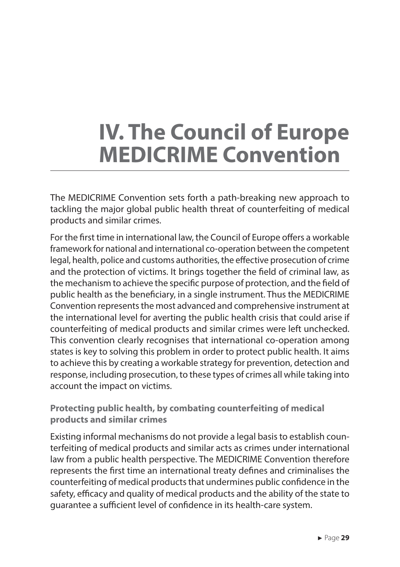## **IV. The Council of Europe MEDICRIME Convention**

The MEDICRIME Convention sets forth a path-breaking new approach to tackling the major global public health threat of counterfeiting of medical products and similar crimes.

For the first time in international law, the Council of Europe offers a workable framework for national and international co-operation between the competent legal, health, police and customs authorities, the effective prosecution of crime and the protection of victims. It brings together the field of criminal law, as the mechanism to achieve the specific purpose of protection, and the field of public health as the beneficiary, in a single instrument. Thus the MEDICRIME Convention represents the most advanced and comprehensive instrument at the international level for averting the public health crisis that could arise if counterfeiting of medical products and similar crimes were left unchecked. This convention clearly recognises that international co-operation among states is key to solving this problem in order to protect public health. It aims to achieve this by creating a workable strategy for prevention, detection and response, including prosecution, to these types of crimes all while taking into account the impact on victims.

**Protecting public health, by combating counterfeiting of medical products and similar crimes**

Existing informal mechanisms do not provide a legal basis to establish counterfeiting of medical products and similar acts as crimes under international law from a public health perspective. The MEDICRIME Convention therefore represents the first time an international treaty defines and criminalises the counterfeiting of medical products that undermines public confidence in the safety, efficacy and quality of medical products and the ability of the state to guarantee a sufficient level of confidence in its health-care system.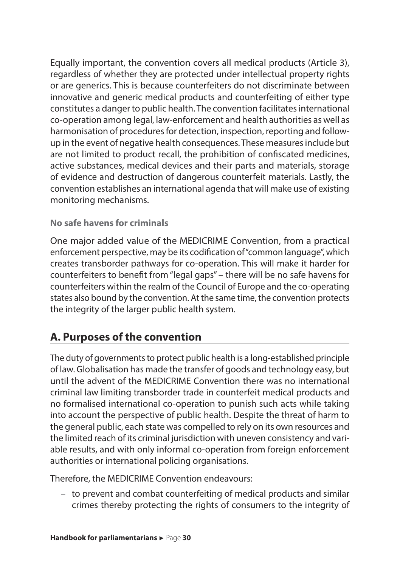Equally important, the convention covers all medical products (Article 3), regardless of whether they are protected under intellectual property rights or are generics. This is because counterfeiters do not discriminate between innovative and generic medical products and counterfeiting of either type constitutes a danger to public health. The convention facilitates international co-operation among legal, law-enforcement and health authorities as well as harmonisation of procedures for detection, inspection, reporting and followup in the event of negative health consequences. These measures include but are not limited to product recall, the prohibition of confiscated medicines, active substances, medical devices and their parts and materials, storage of evidence and destruction of dangerous counterfeit materials. Lastly, the convention establishes an international agenda that will make use of existing monitoring mechanisms.

#### **No safe havens for criminals**

One major added value of the MEDICRIME Convention, from a practical enforcement perspective, may be its codification of "common language", which creates transborder pathways for co-operation. This will make it harder for counterfeiters to benefit from "legal gaps" – there will be no safe havens for counterfeiters within the realm of the Council of Europe and the co-operating states also bound by the convention. At the same time, the convention protects the integrity of the larger public health system.

#### **A. Purposes of the convention**

The duty of governments to protect public health is a long-established principle of law. Globalisation has made the transfer of goods and technology easy, but until the advent of the MEDICRIME Convention there was no international criminal law limiting transborder trade in counterfeit medical products and no formalised international co-operation to punish such acts while taking into account the perspective of public health. Despite the threat of harm to the general public, each state was compelled to rely on its own resources and the limited reach of its criminal jurisdiction with uneven consistency and variable results, and with only informal co-operation from foreign enforcement authorities or international policing organisations.

Therefore, the MEDICRIME Convention endeavours:

– to prevent and combat counterfeiting of medical products and similar crimes thereby protecting the rights of consumers to the integrity of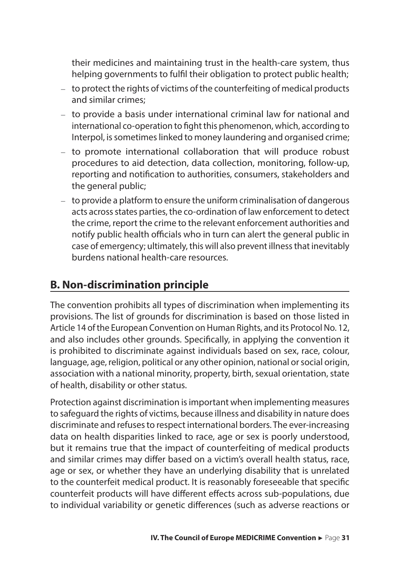their medicines and maintaining trust in the health-care system, thus helping governments to fulfil their obligation to protect public health;

- to protect the rights of victims of the counterfeiting of medical products and similar crimes;
- to provide a basis under international criminal law for national and international co-operation to fight this phenomenon, which, according to Interpol, is sometimes linked to money laundering and organised crime;
- to promote international collaboration that will produce robust procedures to aid detection, data collection, monitoring, follow-up, reporting and notification to authorities, consumers, stakeholders and the general public;
- to provide a platform to ensure the uniform criminalisation of dangerous acts across states parties, the co-ordination of law enforcement to detect the crime, report the crime to the relevant enforcement authorities and notify public health officials who in turn can alert the general public in case of emergency; ultimately, this will also prevent illness that inevitably burdens national health-care resources.

### **B. Non-discrimination principle**

The convention prohibits all types of discrimination when implementing its provisions. The list of grounds for discrimination is based on those listed in Article 14 of the European Convention on Human Rights, and its Protocol No. 12, and also includes other grounds. Specifically, in applying the convention it is prohibited to discriminate against individuals based on sex, race, colour, language, age, religion, political or any other opinion, national or social origin, association with a national minority, property, birth, sexual orientation, state of health, disability or other status.

Protection against discrimination is important when implementing measures to safeguard the rights of victims, because illness and disability in nature does discriminate and refuses to respect international borders. The ever-increasing data on health disparities linked to race, age or sex is poorly understood, but it remains true that the impact of counterfeiting of medical products and similar crimes may differ based on a victim's overall health status, race, age or sex, or whether they have an underlying disability that is unrelated to the counterfeit medical product. It is reasonably foreseeable that specific counterfeit products will have different effects across sub-populations, due to individual variability or genetic differences (such as adverse reactions or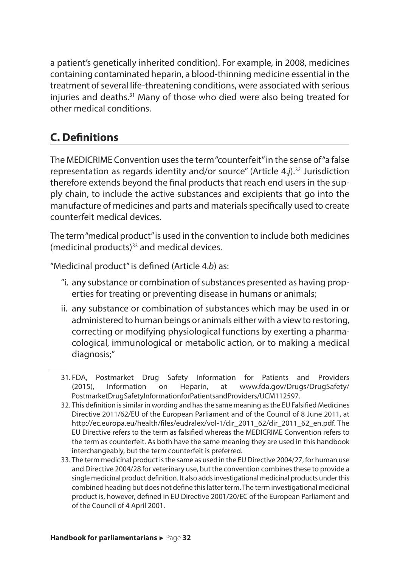a patient's genetically inherited condition). For example, in 2008, medicines containing contaminated heparin, a blood-thinning medicine essential in the treatment of several life-threatening conditions, were associated with serious injuries and deaths.<sup>31</sup> Many of those who died were also being treated for other medical conditions.

## **C. Definitions**

The MEDICRIME Convention uses the term "counterfeit" in the sense of "a false representation as regards identity and/or source" (Article 4.*j*).<sup>32</sup> Jurisdiction therefore extends beyond the final products that reach end users in the supply chain, to include the active substances and excipients that go into the manufacture of medicines and parts and materials specifically used to create counterfeit medical devices.

The term "medical product" is used in the convention to include both medicines (medicinal products)<sup>33</sup> and medical devices.

"Medicinal product" is defined (Article 4.*b*) as:

- "i. any substance or combination of substances presented as having properties for treating or preventing disease in humans or animals;
- ii. any substance or combination of substances which may be used in or administered to human beings or animals either with a view to restoring, correcting or modifying physiological functions by exerting a pharmacological, immunological or metabolic action, or to making a medical diagnosis;"
- 31. FDA, Postmarket Drug Safety Information for Patients and Providers (2015), Information on Heparin, at www.fda.gov/Drugs/DrugSafety/ PostmarketDrugSafetyInformationforPatientsandProviders/UCM112597.
- 32. This definition is similar in wording and has the same meaning as the EU Falsified Medicines Directive 2011/62/EU of the European Parliament and of the Council of 8 June 2011, at http://ec.europa.eu/health/files/eudralex/vol-1/dir\_2011\_62/dir\_2011\_62\_en.pdf. The EU Directive refers to the term as falsified whereas the MEDICRIME Convention refers to the term as counterfeit. As both have the same meaning they are used in this handbook interchangeably, but the term counterfeit is preferred.
- 33. The term medicinal product is the same as used in the EU Directive 2004/27, for human use and Directive 2004/28 for veterinary use, but the convention combines these to provide a single medicinal product definition. It also adds investigational medicinal products under this combined heading but does not define this latter term. The term investigational medicinal product is, however, defined in EU Directive 2001/20/EC of the European Parliament and of the Council of 4 April 2001.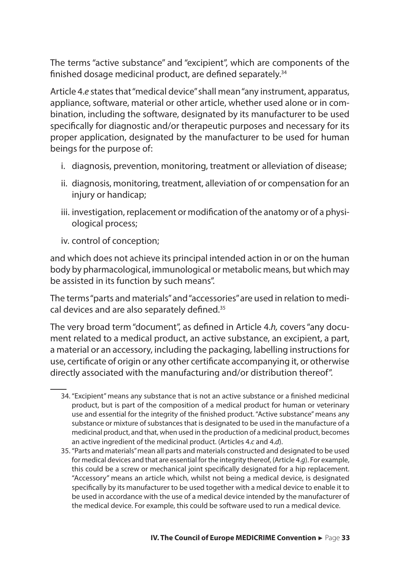The terms "active substance" and "excipient", which are components of the finished dosage medicinal product, are defined separately.<sup>34</sup>

Article 4.*e* states that "medical device" shall mean "any instrument, apparatus, appliance, software, material or other article, whether used alone or in combination, including the software, designated by its manufacturer to be used specifically for diagnostic and/or therapeutic purposes and necessary for its proper application, designated by the manufacturer to be used for human beings for the purpose of:

- i. diagnosis, prevention, monitoring, treatment or alleviation of disease;
- ii. diagnosis, monitoring, treatment, alleviation of or compensation for an injury or handicap;
- iii. investigation, replacement or modification of the anatomy or of a physiological process;
- iv. control of conception;

and which does not achieve its principal intended action in or on the human body by pharmacological, immunological or metabolic means, but which may be assisted in its function by such means".

The terms "parts and materials" and "accessories" are used in relation to medical devices and are also separately defined.<sup>35</sup>

The very broad term "document", as defined in Article 4.*h,* covers "any document related to a medical product, an active substance, an excipient, a part, a material or an accessory, including the packaging, labelling instructions for use, certificate of origin or any other certificate accompanying it, or otherwise directly associated with the manufacturing and/or distribution thereof".

<sup>34.</sup> "Excipient" means any substance that is not an active substance or a finished medicinal product, but is part of the composition of a medical product for human or veterinary use and essential for the integrity of the finished product. "Active substance" means any substance or mixture of substances that is designated to be used in the manufacture of a medicinal product, and that, when used in the production of a medicinal product, becomes an active ingredient of the medicinal product. (Articles 4.*c* and 4.*d*).

<sup>35.</sup> "Parts and materials" mean all parts and materials constructed and designated to be used for medical devices and that are essential for the integrity thereof, (Article 4.*g*). For example, this could be a screw or mechanical joint specifically designated for a hip replacement. "Accessory" means an article which, whilst not being a medical device, is designated specifically by its manufacturer to be used together with a medical device to enable it to be used in accordance with the use of a medical device intended by the manufacturer of the medical device. For example, this could be software used to run a medical device.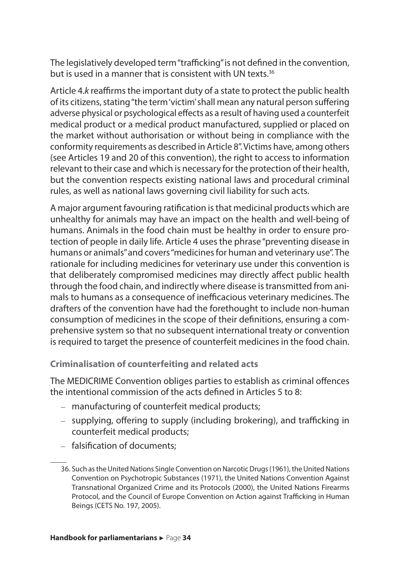The legislatively developed term "trafficking" is not defined in the convention, but is used in a manner that is consistent with UN texts <sup>36</sup>

Article 4.*k* reaffirms the important duty of a state to protect the public health of its citizens, stating "the term 'victim' shall mean any natural person suffering adverse physical or psychological effects as a result of having used a counterfeit medical product or a medical product manufactured, supplied or placed on the market without authorisation or without being in compliance with the conformity requirements as described in Article 8". Victims have, among others (see Articles 19 and 20 of this convention), the right to access to information relevant to their case and which is necessary for the protection of their health, but the convention respects existing national laws and procedural criminal rules, as well as national laws governing civil liability for such acts.

A major argument favouring ratification is that medicinal products which are unhealthy for animals may have an impact on the health and well-being of humans. Animals in the food chain must be healthy in order to ensure protection of people in daily life. Article 4 uses the phrase "preventing disease in humans or animals" and covers "medicines for human and veterinary use". The rationale for including medicines for veterinary use under this convention is that deliberately compromised medicines may directly affect public health through the food chain, and indirectly where disease is transmitted from animals to humans as a consequence of inefficacious veterinary medicines. The drafters of the convention have had the forethought to include non-human consumption of medicines in the scope of their definitions, ensuring a comprehensive system so that no subsequent international treaty or convention is required to target the presence of counterfeit medicines in the food chain.

**Criminalisation of counterfeiting and related acts**

The MEDICRIME Convention obliges parties to establish as criminal offences the intentional commission of the acts defined in Articles 5 to 8:

- manufacturing of counterfeit medical products;
- supplying, offering to supply (including brokering), and trafficking in counterfeit medical products;
- falsification of documents;

<sup>36.</sup> Such as the United Nations Single Convention on Narcotic Drugs (1961), the United Nations Convention on Psychotropic Substances (1971), the United Nations Convention Against Transnational Organized Crime and its Protocols (2000), the United Nations Firearms Protocol, and the Council of Europe Convention on Action against Trafficking in Human Beings (CETS No. 197, 2005).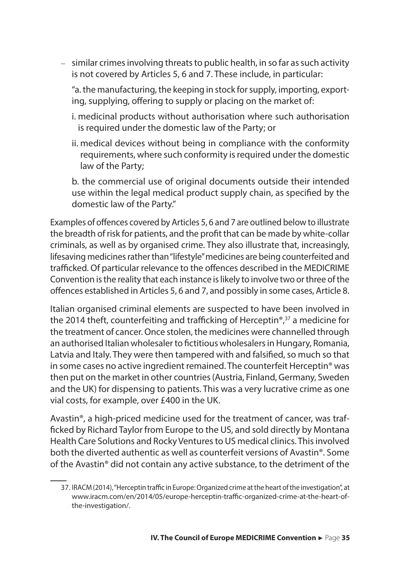– similar crimes involving threats to public health, in so far as such activity is not covered by Articles 5, 6 and 7. These include, in particular:

"a. the manufacturing, the keeping in stock for supply, importing, exporting, supplying, offering to supply or placing on the market of:

- i. medicinal products without authorisation where such authorisation is required under the domestic law of the Party; or
- ii. medical devices without being in compliance with the conformity requirements, where such conformity is required under the domestic law of the Party;

b. the commercial use of original documents outside their intended use within the legal medical product supply chain, as specified by the domestic law of the Party."

Examples of offences covered by Articles 5, 6 and 7 are outlined below to illustrate the breadth of risk for patients, and the profit that can be made by white-collar criminals, as well as by organised crime. They also illustrate that, increasingly, lifesaving medicines rather than "lifestyle" medicines are being counterfeited and trafficked. Of particular relevance to the offences described in the MEDICRIME Convention is the reality that each instance is likely to involve two or three of the offences established in Articles 5, 6 and 7, and possibly in some cases, Article 8.

Italian organised criminal elements are suspected to have been involved in the 2014 theft, counterfeiting and trafficking of Herceptin<sup>®</sup>,<sup>37</sup> a medicine for the treatment of cancer. Once stolen, the medicines were channelled through an authorised Italian wholesaler to fictitious wholesalers in Hungary, Romania, Latvia and Italy. They were then tampered with and falsified, so much so that in some cases no active ingredient remained. The counterfeit Herceptin® was then put on the market in other countries (Austria, Finland, Germany, Sweden and the UK) for dispensing to patients. This was a very lucrative crime as one vial costs, for example, over £400 in the UK.

Avastin®, a high-priced medicine used for the treatment of cancer, was trafficked by Richard Taylor from Europe to the US, and sold directly by Montana Health Care Solutions and Rocky Ventures to US medical clinics. This involved both the diverted authentic as well as counterfeit versions of Avastin®. Some of the Avastin® did not contain any active substance, to the detriment of the

<sup>37.</sup> IRACM (2014), "Herceptin traffic in Europe: Organized crime at the heart of the investigation", at www.iracm.com/en/2014/05/europe-herceptin-traffic-organized-crime-at-the-heart-ofthe-investigation/.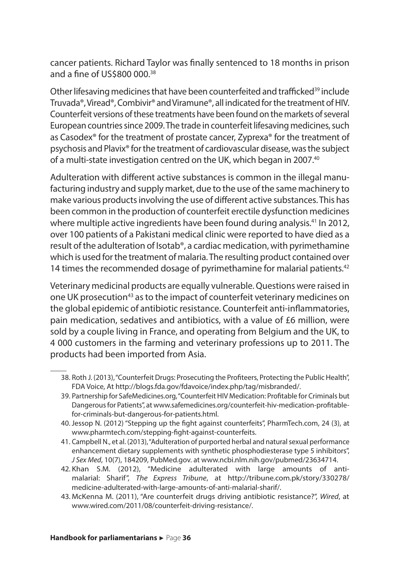cancer patients. Richard Taylor was finally sentenced to 18 months in prison and a fine of US\$800,000 $38$ 

Other lifesaving medicines that have been counterfeited and trafficked<sup>39</sup> include Truvada®, Viread®, Combivir® and Viramune®, all indicated for the treatment of HIV. Counterfeit versions of these treatments have been found on the markets of several European countries since 2009. The trade in counterfeit lifesaving medicines, such as Casodex<sup>®</sup> for the treatment of prostate cancer, Zyprexa<sup>®</sup> for the treatment of psychosis and Plavix® for the treatment of cardiovascular disease, was the subject of a multi-state investigation centred on the UK, which began in 2007.<sup>40</sup>

Adulteration with different active substances is common in the illegal manufacturing industry and supply market, due to the use of the same machinery to make various products involving the use of different active substances. This has been common in the production of counterfeit erectile dysfunction medicines where multiple active ingredients have been found during analysis.<sup>41</sup> In 2012, over 100 patients of a Pakistani medical clinic were reported to have died as a result of the adulteration of Isotab®, a cardiac medication, with pyrimethamine which is used for the treatment of malaria. The resulting product contained over 14 times the recommended dosage of pyrimethamine for malarial patients.<sup>42</sup>

Veterinary medicinal products are equally vulnerable. Questions were raised in one UK prosecution<sup>43</sup> as to the impact of counterfeit veterinary medicines on the global epidemic of antibiotic resistance. Counterfeit anti-inflammatories, pain medication, sedatives and antibiotics, with a value of £6 million, were sold by a couple living in France, and operating from Belgium and the UK, to 4 000 customers in the farming and veterinary professions up to 2011. The products had been imported from Asia.

- 41. Campbell N., et al. (2013), "Adulteration of purported herbal and natural sexual performance enhancement dietary supplements with synthetic phosphodiesterase type 5 inhibitors", *J Sex Med*, 10(7), 184209, PubMed.gov. at www.ncbi.nlm.nih.gov/pubmed/23634714.
- 42. Khan S.M. (2012), "Medicine adulterated with large amounts of antimalarial: Sharif", *The Express Tribune*, at http://tribune.com.pk/story/330278/ medicine-adulterated-with-large-amounts-of-anti-malarial-sharif/.
- 43. McKenna M. (2011), "Are counterfeit drugs driving antibiotic resistance?", *Wired*, at www.wired.com/2011/08/counterfeit-driving-resistance/.

<sup>38.</sup> Roth J. (2013), "Counterfeit Drugs: Prosecuting the Profiteers, Protecting the Public Health", FDA Voice, At http://blogs.fda.gov/fdavoice/index.php/tag/misbranded/.

<sup>39.</sup> Partnership for SafeMedicines.org, "Counterfeit HIV Medication: Profitable for Criminals but Dangerous for Patients", at www.safemedicines.org/counterfeit-hiv-medication-profitablefor-criminals-but-dangerous-for-patients.html.

<sup>40.</sup>Jessop N. (2012) "Stepping up the fight against counterfeits", PharmTech.com, 24 (3), at www.pharmtech.com/stepping-fight-against-counterfeits.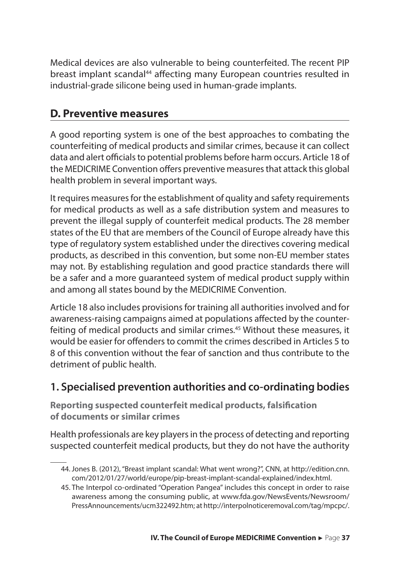Medical devices are also vulnerable to being counterfeited. The recent PIP breast implant scandal<sup>44</sup> affecting many European countries resulted in industrial-grade silicone being used in human-grade implants.

## **D. Preventive measures**

A good reporting system is one of the best approaches to combating the counterfeiting of medical products and similar crimes, because it can collect data and alert officials to potential problems before harm occurs. Article 18 of the MEDICRIME Convention offers preventive measures that attack this global health problem in several important ways.

It requires measures for the establishment of quality and safety requirements for medical products as well as a safe distribution system and measures to prevent the illegal supply of counterfeit medical products. The 28 member states of the EU that are members of the Council of Europe already have this type of regulatory system established under the directives covering medical products, as described in this convention, but some non-EU member states may not. By establishing regulation and good practice standards there will be a safer and a more guaranteed system of medical product supply within and among all states bound by the MEDICRIME Convention.

Article 18 also includes provisions for training all authorities involved and for awareness-raising campaigns aimed at populations affected by the counterfeiting of medical products and similar crimes.<sup>45</sup> Without these measures, it would be easier for offenders to commit the crimes described in Articles 5 to 8 of this convention without the fear of sanction and thus contribute to the detriment of public health.

# **1. Specialised prevention authorities and co-ordinating bodies**

**Reporting suspected counterfeit medical products, falsification of documents or similar crimes**

Health professionals are key players in the process of detecting and reporting suspected counterfeit medical products, but they do not have the authority

<sup>44.</sup>Jones B. (2012), "Breast implant scandal: What went wrong?", CNN, at http://edition.cnn. com/2012/01/27/world/europe/pip-breast-implant-scandal-explained/index.html.

<sup>45.</sup> The Interpol co-ordinated "Operation Pangea" includes this concept in order to raise awareness among the consuming public, at www.fda.gov/NewsEvents/Newsroom/ PressAnnouncements/ucm322492.htm; at http://interpolnoticeremoval.com/tag/mpcpc/.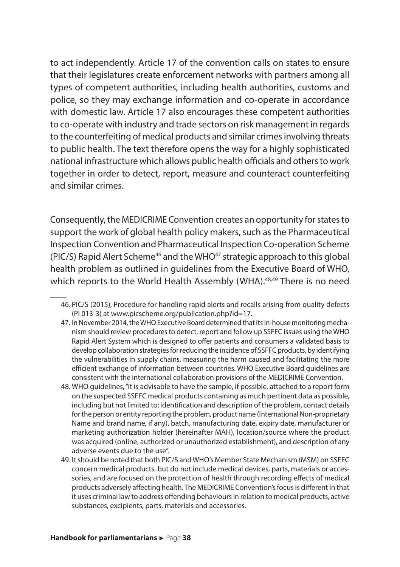to act independently. Article 17 of the convention calls on states to ensure that their legislatures create enforcement networks with partners among all types of competent authorities, including health authorities, customs and police, so they may exchange information and co-operate in accordance with domestic law. Article 17 also encourages these competent authorities to co-operate with industry and trade sectors on risk management in regards to the counterfeiting of medical products and similar crimes involving threats to public health. The text therefore opens the way for a highly sophisticated national infrastructure which allows public health officials and others to work together in order to detect, report, measure and counteract counterfeiting and similar crimes.

Consequently, the MEDICRIME Convention creates an opportunity for states to support the work of global health policy makers, such as the Pharmaceutical Inspection Convention and Pharmaceutical Inspection Co-operation Scheme (PIC/S) Rapid Alert Scheme<sup>46</sup> and the WHO<sup>47</sup> strategic approach to this global health problem as outlined in guidelines from the Executive Board of WHO, which reports to the World Health Assembly (WHA).<sup>48,49</sup> There is no need

- 47. In November 2014, the WHO Executive Board determined that its in-house monitoring mechanism should review procedures to detect, report and follow up SSFFC issues using the WHO Rapid Alert System which is designed to offer patients and consumers a validated basis to develop collaboration strategies for reducing the incidence of SSFFC products, by identifying the vulnerabilities in supply chains, measuring the harm caused and facilitating the more efficient exchange of information between countries. WHO Executive Board guidelines are consistent with the international collaboration provisions of the MEDICRIME Convention.
- 48. WHO guidelines, "it is advisable to have the sample, if possible, attached to a report form on the suspected SSFFC medical products containing as much pertinent data as possible, including but not limited to: identification and description of the problem, contact details for the person or entity reporting the problem, product name (International Non-proprietary Name and brand name, if any), batch, manufacturing date, expiry date, manufacturer or marketing authorization holder (hereinafter MAH), location/source where the product was acquired (online, authorized or unauthorized establishment), and description of any adverse events due to the use".
- 49. It should be noted that both PIC/S and WHO's Member State Mechanism (MSM) on SSFFC concern medical products, but do not include medical devices, parts, materials or accessories, and are focused on the protection of health through recording effects of medical products adversely affecting health. The MEDICRIME Convention's focus is different in that it uses criminal law to address offending behaviours in relation to medical products, active substances, excipients, parts, materials and accessories.

<sup>46.</sup> PIC/S (2015), Procedure for handling rapid alerts and recalls arising from quality defects (PI 013-3) at www.picscheme.org/publication.php?id=17.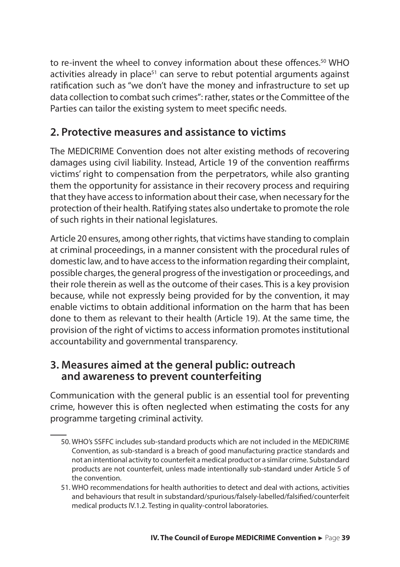to re-invent the wheel to convey information about these offences.<sup>50</sup> WHO activities already in place<sup>51</sup> can serve to rebut potential arguments against ratification such as "we don't have the money and infrastructure to set up data collection to combat such crimes": rather, states or the Committee of the Parties can tailor the existing system to meet specific needs.

# **2. Protective measures and assistance to victims**

The MEDICRIME Convention does not alter existing methods of recovering damages using civil liability. Instead, Article 19 of the convention reaffirms victims' right to compensation from the perpetrators, while also granting them the opportunity for assistance in their recovery process and requiring that they have access to information about their case, when necessary for the protection of their health. Ratifying states also undertake to promote the role of such rights in their national legislatures.

Article 20 ensures, among other rights, that victims have standing to complain at criminal proceedings, in a manner consistent with the procedural rules of domestic law, and to have access to the information regarding their complaint, possible charges, the general progress of the investigation or proceedings, and their role therein as well as the outcome of their cases. This is a key provision because, while not expressly being provided for by the convention, it may enable victims to obtain additional information on the harm that has been done to them as relevant to their health (Article 19). At the same time, the provision of the right of victims to access information promotes institutional accountability and governmental transparency.

## **3. Measures aimed at the general public: outreach and awareness to prevent counterfeiting**

Communication with the general public is an essential tool for preventing crime, however this is often neglected when estimating the costs for any programme targeting criminal activity.

<sup>50.</sup> WHO's SSFFC includes sub-standard products which are not included in the MEDICRIME Convention, as sub-standard is a breach of good manufacturing practice standards and not an intentional activity to counterfeit a medical product or a similar crime. Substandard products are not counterfeit, unless made intentionally sub-standard under Article 5 of the convention.

<sup>51.</sup> WHO recommendations for health authorities to detect and deal with actions, activities and behaviours that result in substandard/spurious/falsely-labelled/falsified/counterfeit medical products IV.1.2. Testing in quality-control laboratories.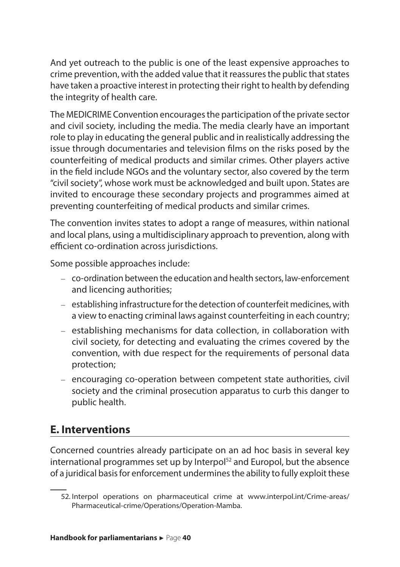And yet outreach to the public is one of the least expensive approaches to crime prevention, with the added value that it reassures the public that states have taken a proactive interest in protecting their right to health by defending the integrity of health care.

The MEDICRIME Convention encourages the participation of the private sector and civil society, including the media. The media clearly have an important role to play in educating the general public and in realistically addressing the issue through documentaries and television films on the risks posed by the counterfeiting of medical products and similar crimes. Other players active in the field include NGOs and the voluntary sector, also covered by the term "civil society", whose work must be acknowledged and built upon. States are invited to encourage these secondary projects and programmes aimed at preventing counterfeiting of medical products and similar crimes.

The convention invites states to adopt a range of measures, within national and local plans, using a multidisciplinary approach to prevention, along with efficient co-ordination across jurisdictions.

Some possible approaches include:

- co-ordination between the education and health sectors, law-enforcement and licencing authorities;
- establishing infrastructure for the detection of counterfeit medicines, with a view to enacting criminal laws against counterfeiting in each country;
- establishing mechanisms for data collection, in collaboration with civil society, for detecting and evaluating the crimes covered by the convention, with due respect for the requirements of personal data protection;
- encouraging co-operation between competent state authorities, civil society and the criminal prosecution apparatus to curb this danger to public health.

# **E. Interventions**

Concerned countries already participate on an ad hoc basis in several key international programmes set up by Interpol<sup>52</sup> and Europol, but the absence of a juridical basis for enforcement undermines the ability to fully exploit these

<sup>52.</sup> Interpol operations on pharmaceutical crime at www.interpol.int/Crime-areas/ Pharmaceutical-crime/Operations/Operation-Mamba.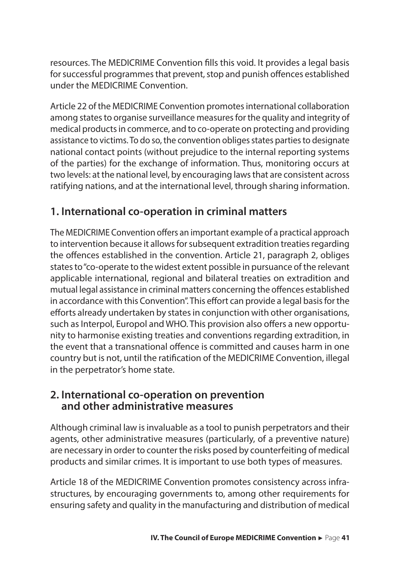resources. The MEDICRIME Convention fills this void. It provides a legal basis for successful programmes that prevent, stop and punish offences established under the MEDICRIME Convention.

Article 22 of the MEDICRIME Convention promotes international collaboration among states to organise surveillance measures for the quality and integrity of medical products in commerce, and to co-operate on protecting and providing assistance to victims. To do so, the convention obliges states parties to designate national contact points (without prejudice to the internal reporting systems of the parties) for the exchange of information. Thus, monitoring occurs at two levels: at the national level, by encouraging laws that are consistent across ratifying nations, and at the international level, through sharing information.

# **1. International co-operation in criminal matters**

The MEDICRIME Convention offers an important example of a practical approach to intervention because it allows for subsequent extradition treaties regarding the offences established in the convention. Article 21, paragraph 2, obliges states to "co-operate to the widest extent possible in pursuance of the relevant applicable international, regional and bilateral treaties on extradition and mutual legal assistance in criminal matters concerning the offences established in accordance with this Convention". This effort can provide a legal basis for the efforts already undertaken by states in conjunction with other organisations, such as Interpol, Europol and WHO. This provision also offers a new opportunity to harmonise existing treaties and conventions regarding extradition, in the event that a transnational offence is committed and causes harm in one country but is not, until the ratification of the MEDICRIME Convention, illegal in the perpetrator's home state.

## **2. International co-operation on prevention and other administrative measures**

Although criminal law is invaluable as a tool to punish perpetrators and their agents, other administrative measures (particularly, of a preventive nature) are necessary in order to counter the risks posed by counterfeiting of medical products and similar crimes. It is important to use both types of measures.

Article 18 of the MEDICRIME Convention promotes consistency across infrastructures, by encouraging governments to, among other requirements for ensuring safety and quality in the manufacturing and distribution of medical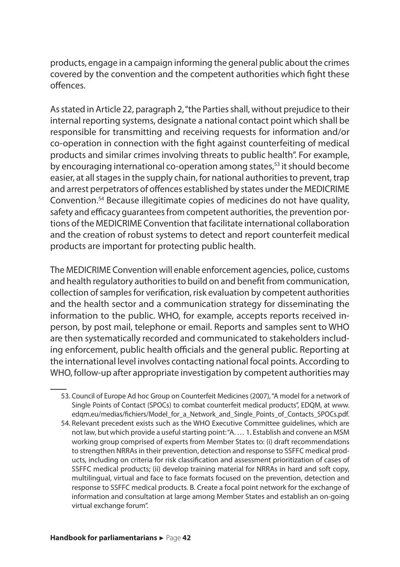products, engage in a campaign informing the general public about the crimes covered by the convention and the competent authorities which fight these offences.

As stated in Article 22, paragraph 2, "the Parties shall, without prejudice to their internal reporting systems, designate a national contact point which shall be responsible for transmitting and receiving requests for information and/or co-operation in connection with the fight against counterfeiting of medical products and similar crimes involving threats to public health". For example, by encouraging international co-operation among states.<sup>53</sup> it should become easier, at all stages in the supply chain, for national authorities to prevent, trap and arrest perpetrators of offences established by states under the MEDICRIME Convention.<sup>54</sup> Because illegitimate copies of medicines do not have quality, safety and efficacy guarantees from competent authorities, the prevention portions of the MEDICRIME Convention that facilitate international collaboration and the creation of robust systems to detect and report counterfeit medical products are important for protecting public health.

The MEDICRIME Convention will enable enforcement agencies, police, customs and health regulatory authorities to build on and benefit from communication, collection of samples for verification, risk evaluation by competent authorities and the health sector and a communication strategy for disseminating the information to the public. WHO, for example, accepts reports received inperson, by post mail, telephone or email. Reports and samples sent to WHO are then systematically recorded and communicated to stakeholders including enforcement, public health officials and the general public. Reporting at the international level involves contacting national focal points. According to WHO, follow-up after appropriate investigation by competent authorities may

54. Relevant precedent exists such as the WHO Executive Committee guidelines, which are not law, but which provide a useful starting point: "A. … 1. Establish and convene an MSM working group comprised of experts from Member States to: (i) draft recommendations to strengthen NRRAs in their prevention, detection and response to SSFFC medical products, including on criteria for risk classification and assessment prioritization of cases of SSFFC medical products; (ii) develop training material for NRRAs in hard and soft copy, multilingual, virtual and face to face formats focused on the prevention, detection and response to SSFFC medical products. B. Create a focal point network for the exchange of information and consultation at large among Member States and establish an on-going virtual exchange forum".

<sup>53.</sup> Council of Europe Ad hoc Group on Counterfeit Medicines (2007), "A model for a network of Single Points of Contact (SPOCs) to combat counterfeit medical products", EDQM, at www. edqm.eu/medias/fichiers/Model\_for\_a\_Network\_and\_Single\_Points\_of\_Contacts\_SPOCs.pdf.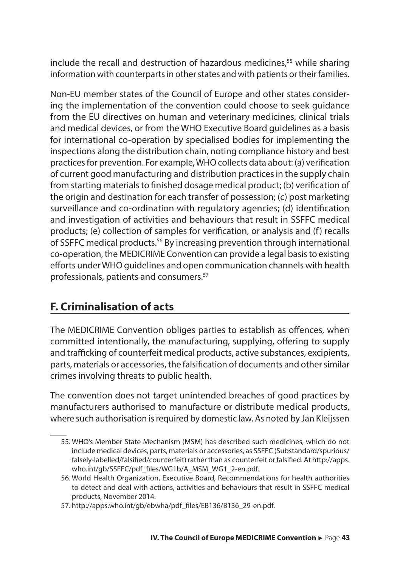include the recall and destruction of hazardous medicines.<sup>55</sup> while sharing information with counterparts in other states and with patients or their families.

Non-EU member states of the Council of Europe and other states considering the implementation of the convention could choose to seek guidance from the EU directives on human and veterinary medicines, clinical trials and medical devices, or from the WHO Executive Board guidelines as a basis for international co-operation by specialised bodies for implementing the inspections along the distribution chain, noting compliance history and best practices for prevention. For example, WHO collects data about: (a) verification of current good manufacturing and distribution practices in the supply chain from starting materials to finished dosage medical product; (b) verification of the origin and destination for each transfer of possession; (c) post marketing surveillance and co-ordination with regulatory agencies; (d) identification and investigation of activities and behaviours that result in SSFFC medical products; (e) collection of samples for verification, or analysis and (f) recalls of SSFFC medical products.<sup>56</sup> By increasing prevention through international co-operation, the MEDICRIME Convention can provide a legal basis to existing efforts under WHO guidelines and open communication channels with health professionals, patients and consumers.<sup>57</sup>

# **F. Criminalisation of acts**

The MEDICRIME Convention obliges parties to establish as offences, when committed intentionally, the manufacturing, supplying, offering to supply and trafficking of counterfeit medical products, active substances, excipients, parts, materials or accessories, the falsification of documents and other similar crimes involving threats to public health.

The convention does not target unintended breaches of good practices by manufacturers authorised to manufacture or distribute medical products, where such authorisation is required by domestic law. As noted by Jan Kleijssen

<sup>55.</sup> WHO's Member State Mechanism (MSM) has described such medicines, which do not include medical devices, parts, materials or accessories, as SSFFC (Substandard/spurious/ falsely-labelled/falsified/counterfeit) rather than as counterfeit or falsified. At http://apps. who.int/ab/SSFFC/pdf\_files/WG1b/A\_MSM\_WG1\_2-en.pdf.

<sup>56.</sup> World Health Organization, Executive Board, Recommendations for health authorities to detect and deal with actions, activities and behaviours that result in SSFFC medical products, November 2014.

<sup>57.</sup> http://apps.who.int/gb/ebwha/pdf\_files/EB136/B136\_29-en.pdf.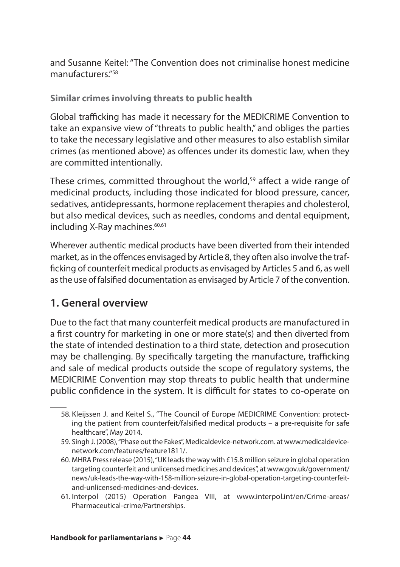and Susanne Keitel: "The Convention does not criminalise honest medicine manufacturers<sup>"58</sup>

**Similar crimes involving threats to public health**

Global trafficking has made it necessary for the MEDICRIME Convention to take an expansive view of "threats to public health," and obliges the parties to take the necessary legislative and other measures to also establish similar crimes (as mentioned above) as offences under its domestic law, when they are committed intentionally.

These crimes, committed throughout the world,<sup>59</sup> affect a wide range of medicinal products, including those indicated for blood pressure, cancer, sedatives, antidepressants, hormone replacement therapies and cholesterol, but also medical devices, such as needles, condoms and dental equipment, including X-Ray machines.<sup>60,61</sup>

Wherever authentic medical products have been diverted from their intended market, as in the offences envisaged by Article 8, they often also involve the trafficking of counterfeit medical products as envisaged by Articles 5 and 6, as well as the use of falsified documentation as envisaged by Article 7 of the convention.

# **1. General overview**

Due to the fact that many counterfeit medical products are manufactured in a first country for marketing in one or more state(s) and then diverted from the state of intended destination to a third state, detection and prosecution may be challenging. By specifically targeting the manufacture, trafficking and sale of medical products outside the scope of regulatory systems, the MEDICRIME Convention may stop threats to public health that undermine public confidence in the system. It is difficult for states to co-operate on

<sup>58.</sup> Kleijssen J. and Keitel S., "The Council of Europe MEDICRIME Convention: protecting the patient from counterfeit/falsified medical products – a pre-requisite for safe healthcare", May 2014.

<sup>59.</sup> Singh J. (2008), "Phase out the Fakes", Medicaldevice-network.com. at www.medicaldevicenetwork.com/features/feature1811/.

<sup>60.</sup> MHRA Press release (2015), "UK leads the way with £15.8 million seizure in global operation targeting counterfeit and unlicensed medicines and devices", at www.gov.uk/government/ news/uk-leads-the-way-with-158-million-seizure-in-global-operation-targeting-counterfeitand-unlicensed-medicines-and-devices.

<sup>61.</sup> Interpol (2015) Operation Pangea VIII, at www.interpol.int/en/Crime-areas/ Pharmaceutical-crime/Partnerships.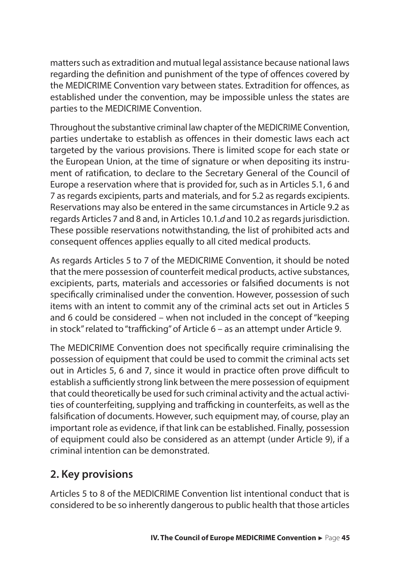matters such as extradition and mutual legal assistance because national laws regarding the definition and punishment of the type of offences covered by the MEDICRIME Convention vary between states. Extradition for offences, as established under the convention, may be impossible unless the states are parties to the MEDICRIME Convention.

Throughout the substantive criminal law chapter of the MEDICRIME Convention, parties undertake to establish as offences in their domestic laws each act targeted by the various provisions. There is limited scope for each state or the European Union, at the time of signature or when depositing its instrument of ratification, to declare to the Secretary General of the Council of Europe a reservation where that is provided for, such as in Articles 5.1, 6 and 7 as regards excipients, parts and materials, and for 5.2 as regards excipients. Reservations may also be entered in the same circumstances in Article 9.2 as regards Articles 7 and 8 and, in Articles 10.1.*d* and 10.2 as regards jurisdiction. These possible reservations notwithstanding, the list of prohibited acts and consequent offences applies equally to all cited medical products.

As regards Articles 5 to 7 of the MEDICRIME Convention, it should be noted that the mere possession of counterfeit medical products, active substances, excipients, parts, materials and accessories or falsified documents is not specifically criminalised under the convention. However, possession of such items with an intent to commit any of the criminal acts set out in Articles 5 and 6 could be considered – when not included in the concept of "keeping in stock" related to "trafficking" of Article 6 – as an attempt under Article 9.

The MEDICRIME Convention does not specifically require criminalising the possession of equipment that could be used to commit the criminal acts set out in Articles 5, 6 and 7, since it would in practice often prove difficult to establish a sufficiently strong link between the mere possession of equipment that could theoretically be used for such criminal activity and the actual activities of counterfeiting, supplying and trafficking in counterfeits, as well as the falsification of documents. However, such equipment may, of course, play an important role as evidence, if that link can be established. Finally, possession of equipment could also be considered as an attempt (under Article 9), if a criminal intention can be demonstrated.

# **2. Key provisions**

Articles 5 to 8 of the MEDICRIME Convention list intentional conduct that is considered to be so inherently dangerous to public health that those articles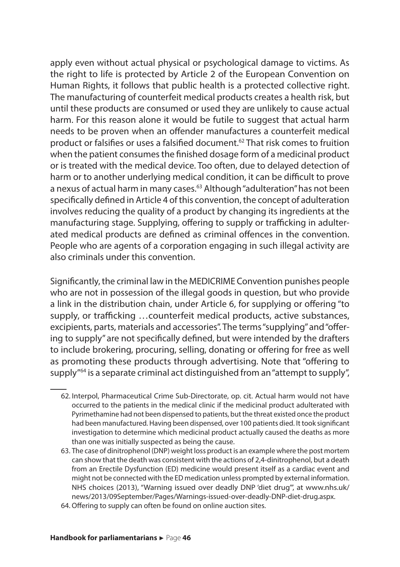apply even without actual physical or psychological damage to victims. As the right to life is protected by Article 2 of the European Convention on Human Rights, it follows that public health is a protected collective right. The manufacturing of counterfeit medical products creates a health risk, but until these products are consumed or used they are unlikely to cause actual harm. For this reason alone it would be futile to suggest that actual harm needs to be proven when an offender manufactures a counterfeit medical product or falsifies or uses a falsified document.<sup>62</sup> That risk comes to fruition when the patient consumes the finished dosage form of a medicinal product or is treated with the medical device. Too often, due to delayed detection of harm or to another underlying medical condition, it can be difficult to prove a nexus of actual harm in many cases.<sup>63</sup> Although "adulteration" has not been specifically defined in Article 4 of this convention, the concept of adulteration involves reducing the quality of a product by changing its ingredients at the manufacturing stage. Supplying, offering to supply or trafficking in adulterated medical products are defined as criminal offences in the convention. People who are agents of a corporation engaging in such illegal activity are also criminals under this convention.

Significantly, the criminal law in the MEDICRIME Convention punishes people who are not in possession of the illegal goods in question, but who provide a link in the distribution chain, under Article 6, for supplying or offering "to supply, or trafficking …counterfeit medical products, active substances, excipients, parts, materials and accessories". The terms "supplying" and "offering to supply" are not specifically defined, but were intended by the drafters to include brokering, procuring, selling, donating or offering for free as well as promoting these products through advertising. Note that "offering to supply"<sup>64</sup> is a separate criminal act distinguished from an "attempt to supply",

<sup>62.</sup> Interpol, Pharmaceutical Crime Sub-Directorate, op. cit. Actual harm would not have occurred to the patients in the medical clinic if the medicinal product adulterated with Pyrimethamine had not been dispensed to patients, but the threat existed once the product had been manufactured. Having been dispensed, over 100 patients died. It took significant investigation to determine which medicinal product actually caused the deaths as more than one was initially suspected as being the cause.

<sup>63.</sup> The case of dinitrophenol (DNP) weight loss product is an example where the post mortem can show that the death was consistent with the actions of 2,4-dinitrophenol, but a death from an Erectile Dysfunction (ED) medicine would present itself as a cardiac event and might not be connected with the ED medication unless prompted by external information. NHS choices (2013), "Warning issued over deadly DNP 'diet drug'", at www.nhs.uk/ news/2013/09September/Pages/Warnings-issued-over-deadly-DNP-diet-drug.aspx.

<sup>64.</sup> Offering to supply can often be found on online auction sites.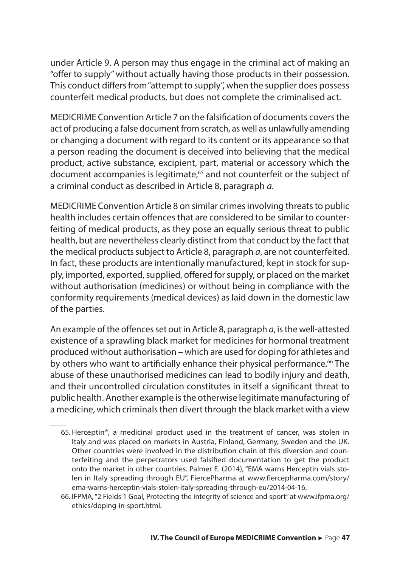under Article 9. A person may thus engage in the criminal act of making an "offer to supply" without actually having those products in their possession. This conduct differs from "attempt to supply", when the supplier does possess counterfeit medical products, but does not complete the criminalised act.

MEDICRIME Convention Article 7 on the falsification of documents covers the act of producing a false document from scratch, as well as unlawfully amending or changing a document with regard to its content or its appearance so that a person reading the document is deceived into believing that the medical product, active substance, excipient, part, material or accessory which the document accompanies is legitimate,<sup>65</sup> and not counterfeit or the subject of a criminal conduct as described in Article 8, paragraph *a*.

MEDICRIME Convention Article 8 on similar crimes involving threats to public health includes certain offences that are considered to be similar to counterfeiting of medical products, as they pose an equally serious threat to public health, but are nevertheless clearly distinct from that conduct by the fact that the medical products subject to Article 8, paragraph *a*, are not counterfeited. In fact, these products are intentionally manufactured, kept in stock for supply, imported, exported, supplied, offered for supply, or placed on the market without authorisation (medicines) or without being in compliance with the conformity requirements (medical devices) as laid down in the domestic law of the parties.

An example of the offences set out in Article 8, paragraph *a*, is the well-attested existence of a sprawling black market for medicines for hormonal treatment produced without authorisation – which are used for doping for athletes and by others who want to artificially enhance their physical performance.<sup>66</sup> The abuse of these unauthorised medicines can lead to bodily injury and death, and their uncontrolled circulation constitutes in itself a significant threat to public health. Another example is the otherwise legitimate manufacturing of a medicine, which criminals then divert through the black market with a view

66. IFPMA, "2 Fields 1 Goal, Protecting the integrity of science and sport" at www.ifpma.org/ ethics/doping-in-sport.html.

<sup>65.</sup> Herceptin®, a medicinal product used in the treatment of cancer, was stolen in Italy and was placed on markets in Austria, Finland, Germany, Sweden and the UK. Other countries were involved in the distribution chain of this diversion and counterfeiting and the perpetrators used falsified documentation to get the product onto the market in other countries. Palmer E. (2014), "EMA warns Herceptin vials stolen in Italy spreading through EU", FiercePharma at www.fiercepharma.com/story/ ema-warns-herceptin-vials-stolen-italy-spreading-through-eu/2014-04-16.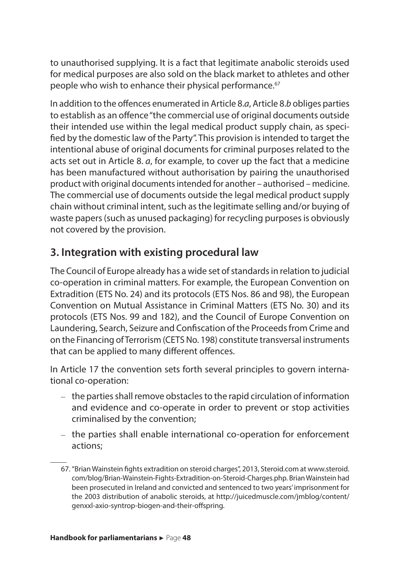to unauthorised supplying. It is a fact that legitimate anabolic steroids used for medical purposes are also sold on the black market to athletes and other people who wish to enhance their physical performance.<sup>67</sup>

In addition to the offences enumerated in Article 8.*a*, Article 8.*b* obliges parties to establish as an offence "the commercial use of original documents outside their intended use within the legal medical product supply chain, as specified by the domestic law of the Party". This provision is intended to target the intentional abuse of original documents for criminal purposes related to the acts set out in Article 8. *a*, for example, to cover up the fact that a medicine has been manufactured without authorisation by pairing the unauthorised product with original documents intended for another – authorised – medicine. The commercial use of documents outside the legal medical product supply chain without criminal intent, such as the legitimate selling and/or buying of waste papers (such as unused packaging) for recycling purposes is obviously not covered by the provision.

# **3. Integration with existing procedural law**

The Council of Europe already has a wide set of standards in relation to judicial co-operation in criminal matters. For example, the European Convention on Extradition (ETS No. 24) and its protocols (ETS Nos. 86 and 98), the European Convention on Mutual Assistance in Criminal Matters (ETS No. 30) and its protocols (ETS Nos. 99 and 182), and the Council of Europe Convention on Laundering, Search, Seizure and Confiscation of the Proceeds from Crime and on the Financing of Terrorism (CETS No. 198) constitute transversal instruments that can be applied to many different offences.

In Article 17 the convention sets forth several principles to govern international co-operation:

- the parties shall remove obstacles to the rapid circulation of information and evidence and co-operate in order to prevent or stop activities criminalised by the convention;
- the parties shall enable international co-operation for enforcement actions;
- 67. "Brian Wainstein fights extradition on steroid charges", 2013, Steroid.com at www.steroid. com/blog/Brian-Wainstein-Fights-Extradition-on-Steroid-Charges.php. Brian Wainstein had been prosecuted in Ireland and convicted and sentenced to two years' imprisonment for the 2003 distribution of anabolic steroids, at http://juicedmuscle.com/jmblog/content/ genxxl-axio-syntrop-biogen-and-their-offspring.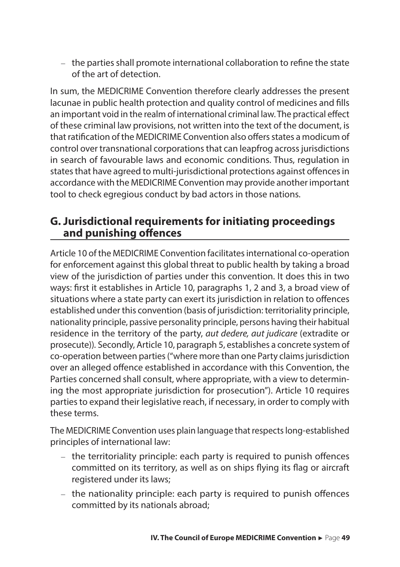– the parties shall promote international collaboration to refine the state of the art of detection.

In sum, the MEDICRIME Convention therefore clearly addresses the present lacunae in public health protection and quality control of medicines and fills an important void in the realm of international criminal law. The practical effect of these criminal law provisions, not written into the text of the document, is that ratification of the MEDICRIME Convention also offers states a modicum of control over transnational corporations that can leapfrog across jurisdictions in search of favourable laws and economic conditions. Thus, regulation in states that have agreed to multi-jurisdictional protections against offences in accordance with the MEDICRIME Convention may provide another important tool to check egregious conduct by bad actors in those nations.

## **G. Jurisdictional requirements for initiating proceedings and punishing offences**

Article 10 of the MEDICRIME Convention facilitates international co-operation for enforcement against this global threat to public health by taking a broad view of the jurisdiction of parties under this convention. It does this in two ways: first it establishes in Article 10, paragraphs 1, 2 and 3, a broad view of situations where a state party can exert its jurisdiction in relation to offences established under this convention (basis of jurisdiction: territoriality principle, nationality principle, passive personality principle, persons having their habitual residence in the territory of the party, *aut dedere, aut judicare* (extradite or prosecute))*.* Secondly, Article 10, paragraph 5, establishes a concrete system of co-operation between parties ("where more than one Party claims jurisdiction over an alleged offence established in accordance with this Convention, the Parties concerned shall consult, where appropriate, with a view to determining the most appropriate jurisdiction for prosecution"). Article 10 requires parties to expand their legislative reach, if necessary, in order to comply with these terms.

The MEDICRIME Convention uses plain language that respects long-established principles of international law:

- the territoriality principle: each party is required to punish offences committed on its territory, as well as on ships flying its flag or aircraft registered under its laws:
- the nationality principle: each party is required to punish offences committed by its nationals abroad;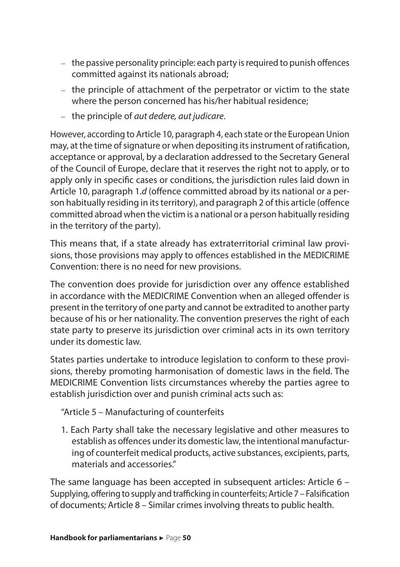- the passive personality principle: each party is required to punish offences committed against its nationals abroad;
- the principle of attachment of the perpetrator or victim to the state where the person concerned has his/her habitual residence;
- the principle of *aut dedere, aut judicare*.

However, according to Article 10, paragraph 4, each state or the European Union may, at the time of signature or when depositing its instrument of ratification, acceptance or approval, by a declaration addressed to the Secretary General of the Council of Europe, declare that it reserves the right not to apply, or to apply only in specific cases or conditions, the jurisdiction rules laid down in Article 10, paragraph 1.*d* (offence committed abroad by its national or a person habitually residing in its territory), and paragraph 2 of this article (offence committed abroad when the victim is a national or a person habitually residing in the territory of the party).

This means that, if a state already has extraterritorial criminal law provisions, those provisions may apply to offences established in the MEDICRIME Convention: there is no need for new provisions.

The convention does provide for jurisdiction over any offence established in accordance with the MEDICRIME Convention when an alleged offender is present in the territory of one party and cannot be extradited to another party because of his or her nationality. The convention preserves the right of each state party to preserve its jurisdiction over criminal acts in its own territory under its domestic law.

States parties undertake to introduce legislation to conform to these provisions, thereby promoting harmonisation of domestic laws in the field. The MEDICRIME Convention lists circumstances whereby the parties agree to establish jurisdiction over and punish criminal acts such as:

"Article 5 – Manufacturing of counterfeits

1. Each Party shall take the necessary legislative and other measures to establish as offences under its domestic law, the intentional manufacturing of counterfeit medical products, active substances, excipients, parts, materials and accessories."

The same language has been accepted in subsequent articles: Article 6 – Supplying, offering to supply and trafficking in counterfeits; Article 7 – Falsification of documents; Article 8 – Similar crimes involving threats to public health.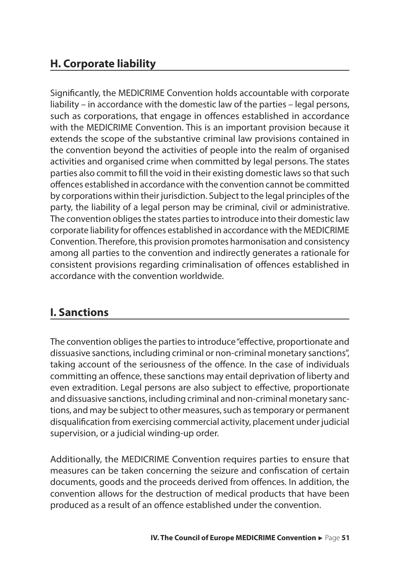# **H. Corporate liability**

Significantly, the MEDICRIME Convention holds accountable with corporate liability – in accordance with the domestic law of the parties – legal persons, such as corporations, that engage in offences established in accordance with the MEDICRIME Convention. This is an important provision because it extends the scope of the substantive criminal law provisions contained in the convention beyond the activities of people into the realm of organised activities and organised crime when committed by legal persons. The states parties also commit to fill the void in their existing domestic laws so that such offences established in accordance with the convention cannot be committed by corporations within their jurisdiction. Subject to the legal principles of the party, the liability of a legal person may be criminal, civil or administrative. The convention obliges the states parties to introduce into their domestic law corporate liability for offences established in accordance with the MEDICRIME Convention. Therefore, this provision promotes harmonisation and consistency among all parties to the convention and indirectly generates a rationale for consistent provisions regarding criminalisation of offences established in accordance with the convention worldwide.

# **I. Sanctions**

The convention obliges the parties to introduce "effective, proportionate and dissuasive sanctions, including criminal or non-criminal monetary sanctions", taking account of the seriousness of the offence. In the case of individuals committing an offence, these sanctions may entail deprivation of liberty and even extradition. Legal persons are also subject to effective, proportionate and dissuasive sanctions, including criminal and non-criminal monetary sanctions, and may be subject to other measures, such as temporary or permanent disqualification from exercising commercial activity, placement under judicial supervision, or a judicial winding-up order.

Additionally, the MEDICRIME Convention requires parties to ensure that measures can be taken concerning the seizure and confiscation of certain documents, goods and the proceeds derived from offences. In addition, the convention allows for the destruction of medical products that have been produced as a result of an offence established under the convention.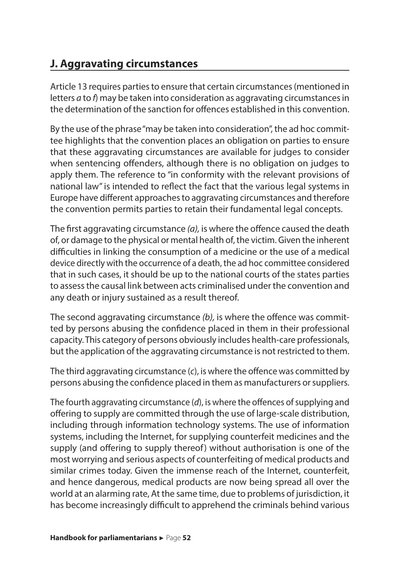# **J. Aggravating circumstances**

Article 13 requires parties to ensure that certain circumstances (mentioned in letters *a* to *f*) may be taken into consideration as aggravating circumstances in the determination of the sanction for offences established in this convention.

By the use of the phrase "may be taken into consideration", the ad hoc committee highlights that the convention places an obligation on parties to ensure that these aggravating circumstances are available for judges to consider when sentencing offenders, although there is no obligation on judges to apply them. The reference to "in conformity with the relevant provisions of national law" is intended to reflect the fact that the various legal systems in Europe have different approaches to aggravating circumstances and therefore the convention permits parties to retain their fundamental legal concepts.

The first aggravating circumstance *(a),* is where the offence caused the death of, or damage to the physical or mental health of, the victim. Given the inherent difficulties in linking the consumption of a medicine or the use of a medical device directly with the occurrence of a death, the ad hoc committee considered that in such cases, it should be up to the national courts of the states parties to assess the causal link between acts criminalised under the convention and any death or injury sustained as a result thereof.

The second aggravating circumstance *(b),* is where the offence was committed by persons abusing the confidence placed in them in their professional capacity. This category of persons obviously includes health-care professionals, but the application of the aggravating circumstance is not restricted to them.

The third aggravating circumstance (*c*), is where the offence was committed by persons abusing the confidence placed in them as manufacturers or suppliers.

The fourth aggravating circumstance (*d*), is where the offences of supplying and offering to supply are committed through the use of large-scale distribution, including through information technology systems. The use of information systems, including the Internet, for supplying counterfeit medicines and the supply (and offering to supply thereof) without authorisation is one of the most worrying and serious aspects of counterfeiting of medical products and similar crimes today. Given the immense reach of the Internet, counterfeit, and hence dangerous, medical products are now being spread all over the world at an alarming rate, At the same time, due to problems of jurisdiction, it has become increasingly difficult to apprehend the criminals behind various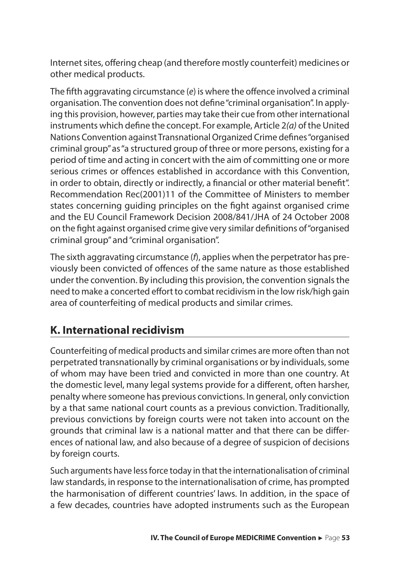Internet sites, offering cheap (and therefore mostly counterfeit) medicines or other medical products.

The fifth aggravating circumstance (*e*) is where the offence involved a criminal organisation. The convention does not define "criminal organisation". In applying this provision, however, parties may take their cue from other international instruments which define the concept. For example, Article 2*(a)* of the United Nations Convention against Transnational Organized Crime defines "organised criminal group" as "a structured group of three or more persons, existing for a period of time and acting in concert with the aim of committing one or more serious crimes or offences established in accordance with this Convention, in order to obtain, directly or indirectly, a financial or other material benefit". Recommendation Rec(2001)11 of the Committee of Ministers to member states concerning guiding principles on the fight against organised crime and the EU Council Framework Decision 2008/841/JHA of 24 October 2008 on the fight against organised crime give very similar definitions of "organised criminal group" and "criminal organisation".

The sixth aggravating circumstance (*f*), applies when the perpetrator has previously been convicted of offences of the same nature as those established under the convention. By including this provision, the convention signals the need to make a concerted effort to combat recidivism in the low risk/high gain area of counterfeiting of medical products and similar crimes.

# **K. International recidivism**

Counterfeiting of medical products and similar crimes are more often than not perpetrated transnationally by criminal organisations or by individuals, some of whom may have been tried and convicted in more than one country. At the domestic level, many legal systems provide for a different, often harsher, penalty where someone has previous convictions. In general, only conviction by a that same national court counts as a previous conviction. Traditionally, previous convictions by foreign courts were not taken into account on the grounds that criminal law is a national matter and that there can be differences of national law, and also because of a degree of suspicion of decisions by foreign courts.

Such arguments have less force today in that the internationalisation of criminal law standards, in response to the internationalisation of crime, has prompted the harmonisation of different countries' laws. In addition, in the space of a few decades, countries have adopted instruments such as the European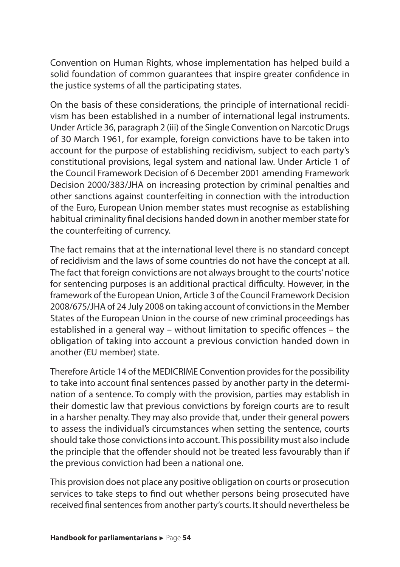Convention on Human Rights, whose implementation has helped build a solid foundation of common guarantees that inspire greater confidence in the justice systems of all the participating states.

On the basis of these considerations, the principle of international recidivism has been established in a number of international legal instruments. Under Article 36, paragraph 2 (iii) of the Single Convention on Narcotic Drugs of 30 March 1961, for example, foreign convictions have to be taken into account for the purpose of establishing recidivism, subject to each party's constitutional provisions, legal system and national law. Under Article 1 of the Council Framework Decision of 6 December 2001 amending Framework Decision 2000/383/JHA on increasing protection by criminal penalties and other sanctions against counterfeiting in connection with the introduction of the Euro, European Union member states must recognise as establishing habitual criminality final decisions handed down in another member state for the counterfeiting of currency.

The fact remains that at the international level there is no standard concept of recidivism and the laws of some countries do not have the concept at all. The fact that foreign convictions are not always brought to the courts' notice for sentencing purposes is an additional practical difficulty. However, in the framework of the European Union, Article 3 of the Council Framework Decision 2008/675/JHA of 24 July 2008 on taking account of convictions in the Member States of the European Union in the course of new criminal proceedings has established in a general way – without limitation to specific offences – the obligation of taking into account a previous conviction handed down in another (EU member) state.

Therefore Article 14 of the MEDICRIME Convention provides for the possibility to take into account final sentences passed by another party in the determination of a sentence. To comply with the provision, parties may establish in their domestic law that previous convictions by foreign courts are to result in a harsher penalty. They may also provide that, under their general powers to assess the individual's circumstances when setting the sentence, courts should take those convictions into account. This possibility must also include the principle that the offender should not be treated less favourably than if the previous conviction had been a national one.

This provision does not place any positive obligation on courts or prosecution services to take steps to find out whether persons being prosecuted have received final sentences from another party's courts. It should nevertheless be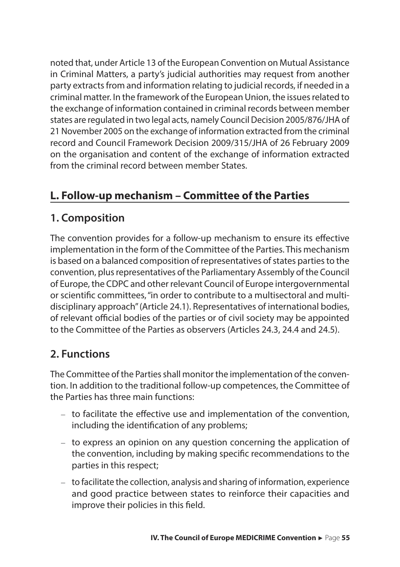noted that, under Article 13 of the European Convention on Mutual Assistance in Criminal Matters, a party's judicial authorities may request from another party extracts from and information relating to judicial records, if needed in a criminal matter. In the framework of the European Union, the issues related to the exchange of information contained in criminal records between member states are regulated in two legal acts, namely Council Decision 2005/876/JHA of 21 November 2005 on the exchange of information extracted from the criminal record and Council Framework Decision 2009/315/JHA of 26 February 2009 on the organisation and content of the exchange of information extracted from the criminal record between member States.

# **L. Follow-up mechanism – Committee of the Parties**

# **1. Composition**

The convention provides for a follow-up mechanism to ensure its effective implementation in the form of the Committee of the Parties. This mechanism is based on a balanced composition of representatives of states parties to the convention, plus representatives of the Parliamentary Assembly of the Council of Europe, the CDPC and other relevant Council of Europe intergovernmental or scientific committees, "in order to contribute to a multisectoral and multidisciplinary approach" (Article 24.1). Representatives of international bodies, of relevant official bodies of the parties or of civil society may be appointed to the Committee of the Parties as observers (Articles 24.3, 24.4 and 24.5).

# **2. Functions**

The Committee of the Parties shall monitor the implementation of the convention. In addition to the traditional follow-up competences, the Committee of the Parties has three main functions:

- to facilitate the effective use and implementation of the convention, including the identification of any problems;
- to express an opinion on any question concerning the application of the convention, including by making specific recommendations to the parties in this respect;
- to facilitate the collection, analysis and sharing of information, experience and good practice between states to reinforce their capacities and improve their policies in this field.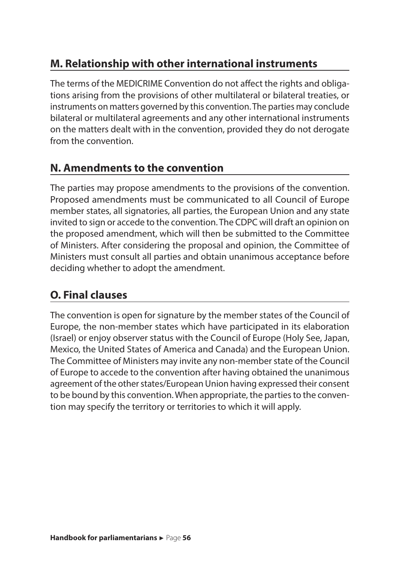# **M. Relationship with other international instruments**

The terms of the MEDICRIME Convention do not affect the rights and obligations arising from the provisions of other multilateral or bilateral treaties, or instruments on matters governed by this convention. The parties may conclude bilateral or multilateral agreements and any other international instruments on the matters dealt with in the convention, provided they do not derogate from the convention.

# **N. Amendments to the convention**

The parties may propose amendments to the provisions of the convention. Proposed amendments must be communicated to all Council of Europe member states, all signatories, all parties, the European Union and any state invited to sign or accede to the convention. The CDPC will draft an opinion on the proposed amendment, which will then be submitted to the Committee of Ministers. After considering the proposal and opinion, the Committee of Ministers must consult all parties and obtain unanimous acceptance before deciding whether to adopt the amendment.

# **O. Final clauses**

The convention is open for signature by the member states of the Council of Europe, the non-member states which have participated in its elaboration (Israel) or enjoy observer status with the Council of Europe (Holy See, Japan, Mexico, the United States of America and Canada) and the European Union. The Committee of Ministers may invite any non-member state of the Council of Europe to accede to the convention after having obtained the unanimous agreement of the other states/European Union having expressed their consent to be bound by this convention. When appropriate, the parties to the convention may specify the territory or territories to which it will apply.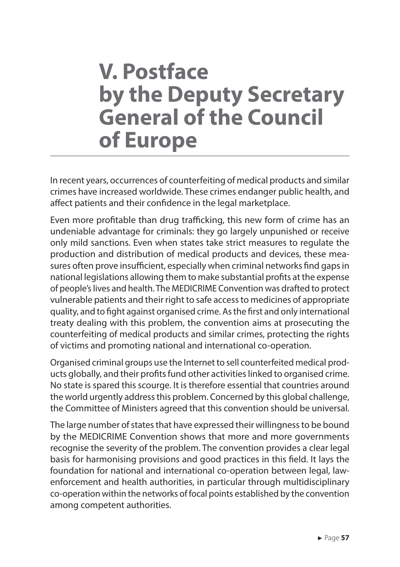# **V. Postface by the Deputy Secretary General of the Council of Europe**

In recent years, occurrences of counterfeiting of medical products and similar crimes have increased worldwide. These crimes endanger public health, and affect patients and their confidence in the legal marketplace.

Even more profitable than drug trafficking, this new form of crime has an undeniable advantage for criminals: they go largely unpunished or receive only mild sanctions. Even when states take strict measures to regulate the production and distribution of medical products and devices, these measures often prove insufficient, especially when criminal networks find gaps in national legislations allowing them to make substantial profits at the expense of people's lives and health. The MEDICRIME Convention was drafted to protect vulnerable patients and their right to safe access to medicines of appropriate quality, and to fight against organised crime. As the first and only international treaty dealing with this problem, the convention aims at prosecuting the counterfeiting of medical products and similar crimes, protecting the rights of victims and promoting national and international co-operation.

Organised criminal groups use the Internet to sell counterfeited medical products globally, and their profits fund other activities linked to organised crime. No state is spared this scourge. It is therefore essential that countries around the world urgently address this problem. Concerned by this global challenge, the Committee of Ministers agreed that this convention should be universal.

The large number of states that have expressed their willingness to be bound by the MEDICRIME Convention shows that more and more governments recognise the severity of the problem. The convention provides a clear legal basis for harmonising provisions and good practices in this field. It lays the foundation for national and international co-operation between legal, lawenforcement and health authorities, in particular through multidisciplinary co-operation within the networks of focal points established by the convention among competent authorities.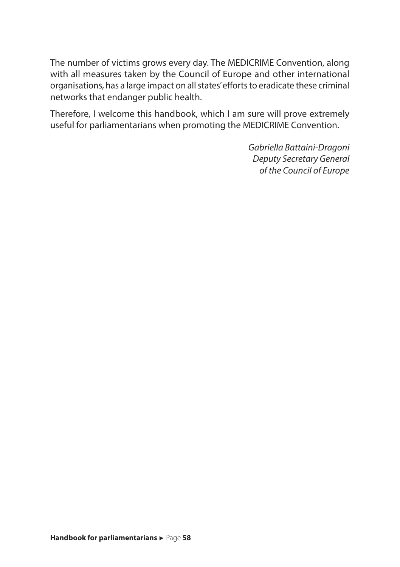The number of victims grows every day. The MEDICRIME Convention, along with all measures taken by the Council of Europe and other international organisations, has a large impact on all states' efforts to eradicate these criminal networks that endanger public health.

Therefore, I welcome this handbook, which I am sure will prove extremely useful for parliamentarians when promoting the MEDICRIME Convention.

> *Gabriella Battaini-Dragoni Deputy Secretary General of the Council of Europe*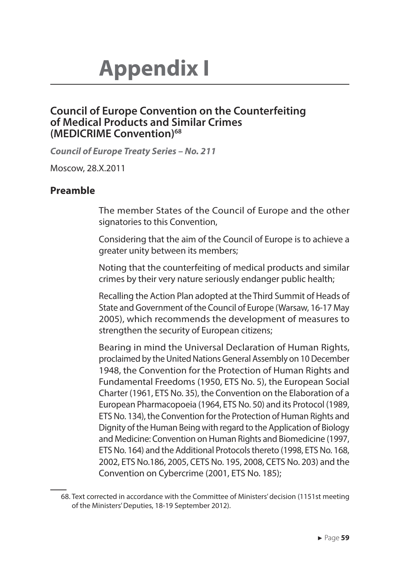# **Appendix I**

#### **Council of Europe Convention on the Counterfeiting of Medical Products and Similar Crimes (MEDICRIME Convention)<sup>68</sup>**

*Council of Europe Treaty Series* **–** *No. 211*

Moscow, 28.X.2011

#### **Preamble**

The member States of the Council of Europe and the other signatories to this Convention,

Considering that the aim of the Council of Europe is to achieve a greater unity between its members;

Noting that the counterfeiting of medical products and similar crimes by their very nature seriously endanger public health;

Recalling the Action Plan adopted at the Third Summit of Heads of State and Government of the Council of Europe (Warsaw, 16-17 May 2005), which recommends the development of measures to strengthen the security of European citizens;

Bearing in mind the Universal Declaration of Human Rights, proclaimed by the United Nations General Assembly on 10 December 1948, the Convention for the Protection of Human Rights and Fundamental Freedoms (1950, ETS No. 5), the European Social Charter (1961, ETS No. 35), the Convention on the Elaboration of a European Pharmacopoeia (1964, ETS No. 50) and its Protocol (1989, ETS No. 134), the Convention for the Protection of Human Rights and Dignity of the Human Being with regard to the Application of Biology and Medicine: Convention on Human Rights and Biomedicine (1997, ETS No. 164) and the Additional Protocols thereto (1998, ETS No. 168, 2002, ETS No.186, 2005, CETS No. 195, 2008, CETS No. 203) and the Convention on Cybercrime (2001, ETS No. 185);

<sup>68.</sup> Text corrected in accordance with the Committee of Ministers' decision (1151st meeting of the Ministers' Deputies, 18-19 September 2012).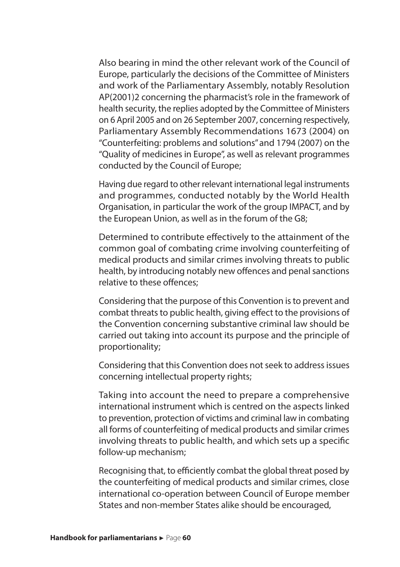Also bearing in mind the other relevant work of the Council of Europe, particularly the decisions of the Committee of Ministers and work of the Parliamentary Assembly, notably Resolution AP(2001)2 concerning the pharmacist's role in the framework of health security, the replies adopted by the Committee of Ministers on 6 April 2005 and on 26 September 2007, concerning respectively, Parliamentary Assembly Recommendations 1673 (2004) on "Counterfeiting: problems and solutions" and 1794 (2007) on the "Quality of medicines in Europe", as well as relevant programmes conducted by the Council of Europe;

Having due regard to other relevant international legal instruments and programmes, conducted notably by the World Health Organisation, in particular the work of the group IMPACT, and by the European Union, as well as in the forum of the G8;

Determined to contribute effectively to the attainment of the common goal of combating crime involving counterfeiting of medical products and similar crimes involving threats to public health, by introducing notably new offences and penal sanctions relative to these offences;

Considering that the purpose of this Convention is to prevent and combat threats to public health, giving effect to the provisions of the Convention concerning substantive criminal law should be carried out taking into account its purpose and the principle of proportionality;

Considering that this Convention does not seek to address issues concerning intellectual property rights;

Taking into account the need to prepare a comprehensive international instrument which is centred on the aspects linked to prevention, protection of victims and criminal law in combating all forms of counterfeiting of medical products and similar crimes involving threats to public health, and which sets up a specific follow-up mechanism;

Recognising that, to efficiently combat the global threat posed by the counterfeiting of medical products and similar crimes, close international co-operation between Council of Europe member States and non-member States alike should be encouraged,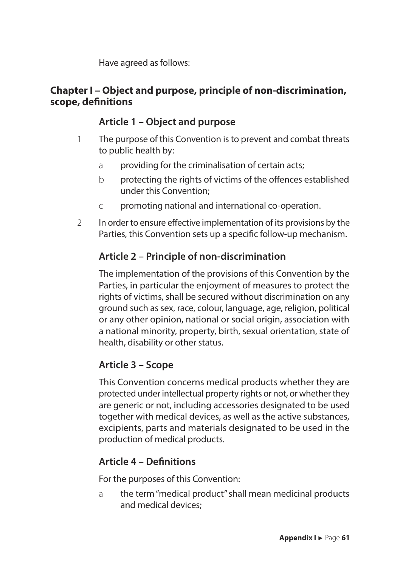Have agreed as follows:

#### **Chapter I – Object and purpose, principle of non-discrimination, scope, definitions**

## **Article 1 – Object and purpose**

- 1 The purpose of this Convention is to prevent and combat threats to public health by:
	- a providing for the criminalisation of certain acts;
	- b protecting the rights of victims of the offences established under this Convention;
	- c promoting national and international co-operation.
- 2 In order to ensure effective implementation of its provisions by the Parties, this Convention sets up a specific follow-up mechanism.

## **Article 2 – Principle of non-discrimination**

The implementation of the provisions of this Convention by the Parties, in particular the enjoyment of measures to protect the rights of victims, shall be secured without discrimination on any ground such as sex, race, colour, language, age, religion, political or any other opinion, national or social origin, association with a national minority, property, birth, sexual orientation, state of health, disability or other status.

## **Article 3 – Scope**

This Convention concerns medical products whether they are protected under intellectual property rights or not, or whether they are generic or not, including accessories designated to be used together with medical devices, as well as the active substances, excipients, parts and materials designated to be used in the production of medical products.

## **Article 4 – Definitions**

For the purposes of this Convention:

a the term "medical product" shall mean medicinal products and medical devices;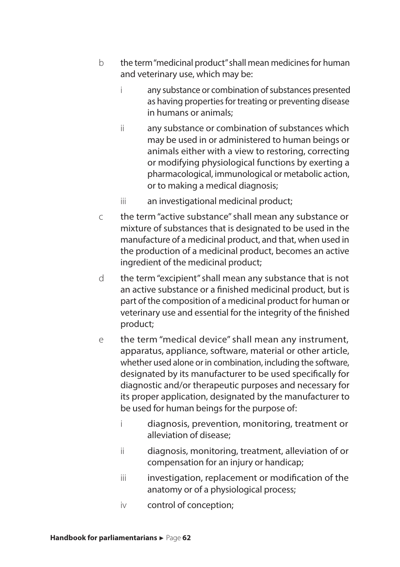- b the term "medicinal product" shall mean medicines for human and veterinary use, which may be:
	- any substance or combination of substances presented as having properties for treating or preventing disease in humans or animals;
	- ii any substance or combination of substances which may be used in or administered to human beings or animals either with a view to restoring, correcting or modifying physiological functions by exerting a pharmacological, immunological or metabolic action, or to making a medical diagnosis;
	- iii an investigational medicinal product;
- c the term "active substance" shall mean any substance or mixture of substances that is designated to be used in the manufacture of a medicinal product, and that, when used in the production of a medicinal product, becomes an active ingredient of the medicinal product;
- d the term "excipient" shall mean any substance that is not an active substance or a finished medicinal product, but is part of the composition of a medicinal product for human or veterinary use and essential for the integrity of the finished product;
- e the term "medical device" shall mean any instrument, apparatus, appliance, software, material or other article, whether used alone or in combination, including the software, designated by its manufacturer to be used specifically for diagnostic and/or therapeutic purposes and necessary for its proper application, designated by the manufacturer to be used for human beings for the purpose of:
	- i diagnosis, prevention, monitoring, treatment or alleviation of disease;
	- ii diagnosis, monitoring, treatment, alleviation of or compensation for an injury or handicap;
	- iii investigation, replacement or modification of the anatomy or of a physiological process;
	- iv control of conception;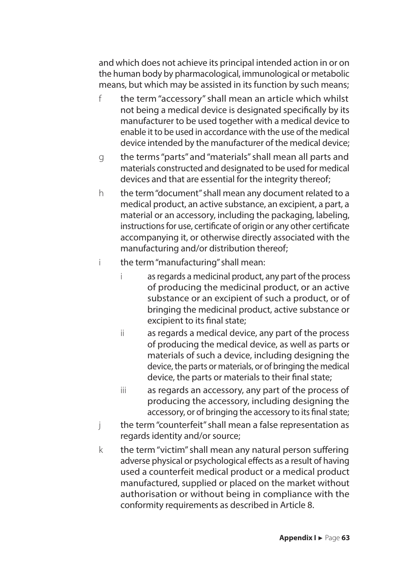and which does not achieve its principal intended action in or on the human body by pharmacological, immunological or metabolic means, but which may be assisted in its function by such means;

- the term "accessory" shall mean an article which whilst not being a medical device is designated specifically by its manufacturer to be used together with a medical device to enable it to be used in accordance with the use of the medical device intended by the manufacturer of the medical device;
- g the terms "parts" and "materials" shall mean all parts and materials constructed and designated to be used for medical devices and that are essential for the integrity thereof;
- h the term "document" shall mean any document related to a medical product, an active substance, an excipient, a part, a material or an accessory, including the packaging, labeling, instructions for use, certificate of origin or any other certificate accompanying it, or otherwise directly associated with the manufacturing and/or distribution thereof;
- i the term "manufacturing" shall mean:
	- as regards a medicinal product, any part of the process of producing the medicinal product, or an active substance or an excipient of such a product, or of bringing the medicinal product, active substance or excipient to its final state;
	- ii as regards a medical device, any part of the process of producing the medical device, as well as parts or materials of such a device, including designing the device, the parts or materials, or of bringing the medical device, the parts or materials to their final state;
	- iii as regards an accessory, any part of the process of producing the accessory, including designing the accessory, or of bringing the accessory to its final state;
- j the term "counterfeit" shall mean a false representation as regards identity and/or source;
- $k$  the term "victim" shall mean any natural person suffering adverse physical or psychological effects as a result of having used a counterfeit medical product or a medical product manufactured, supplied or placed on the market without authorisation or without being in compliance with the conformity requirements as described in Article 8.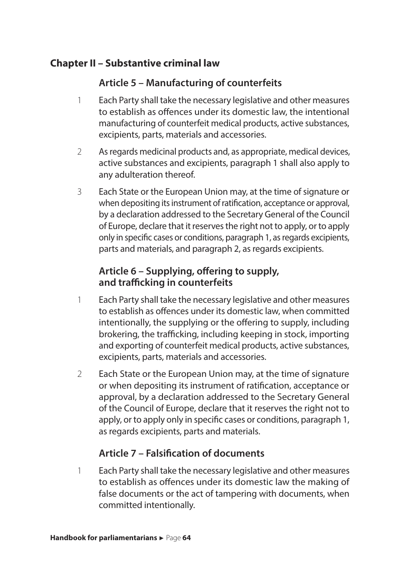### **Chapter II – Substantive criminal law**

## **Article 5 – Manufacturing of counterfeits**

- 1 Each Party shall take the necessary legislative and other measures to establish as offences under its domestic law, the intentional manufacturing of counterfeit medical products, active substances, excipients, parts, materials and accessories.
- 2 As regards medicinal products and, as appropriate, medical devices, active substances and excipients, paragraph 1 shall also apply to any adulteration thereof.
- 3 Each State or the European Union may, at the time of signature or when depositing its instrument of ratification, acceptance or approval, by a declaration addressed to the Secretary General of the Council of Europe, declare that it reserves the right not to apply, or to apply only in specific cases or conditions, paragraph 1, as regards excipients, parts and materials, and paragraph 2, as regards excipients.

### **Article 6 – Supplying, offering to supply, and trafficking in counterfeits**

- 1 Each Party shall take the necessary legislative and other measures to establish as offences under its domestic law, when committed intentionally, the supplying or the offering to supply, including brokering, the trafficking, including keeping in stock, importing and exporting of counterfeit medical products, active substances, excipients, parts, materials and accessories.
- 2 Each State or the European Union may, at the time of signature or when depositing its instrument of ratification, acceptance or approval, by a declaration addressed to the Secretary General of the Council of Europe, declare that it reserves the right not to apply, or to apply only in specific cases or conditions, paragraph 1, as regards excipients, parts and materials.

## **Article 7 – Falsification of documents**

1 Each Party shall take the necessary legislative and other measures to establish as offences under its domestic law the making of false documents or the act of tampering with documents, when committed intentionally.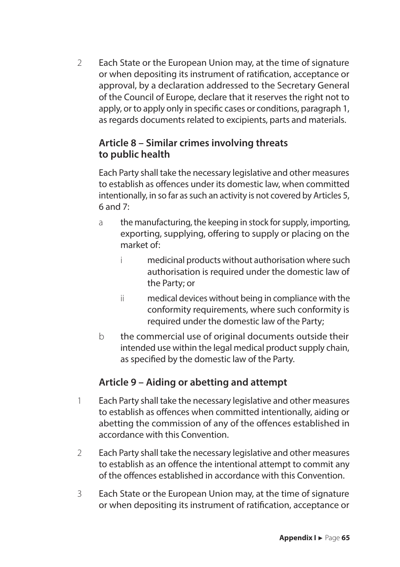2 Each State or the European Union may, at the time of signature or when depositing its instrument of ratification, acceptance or approval, by a declaration addressed to the Secretary General of the Council of Europe, declare that it reserves the right not to apply, or to apply only in specific cases or conditions, paragraph 1, as regards documents related to excipients, parts and materials.

#### **Article 8 – Similar crimes involving threats to public health**

Each Party shall take the necessary legislative and other measures to establish as offences under its domestic law, when committed intentionally, in so far as such an activity is not covered by Articles 5, 6 and 7:

- a the manufacturing, the keeping in stock for supply, importing, exporting, supplying, offering to supply or placing on the market of:
	- medicinal products without authorisation where such authorisation is required under the domestic law of the Party; or
	- ii medical devices without being in compliance with the conformity requirements, where such conformity is required under the domestic law of the Party;
- b the commercial use of original documents outside their intended use within the legal medical product supply chain, as specified by the domestic law of the Party.

## **Article 9 – Aiding or abetting and attempt**

- 1 Each Party shall take the necessary legislative and other measures to establish as offences when committed intentionally, aiding or abetting the commission of any of the offences established in accordance with this Convention.
- 2 Each Party shall take the necessary legislative and other measures to establish as an offence the intentional attempt to commit any of the offences established in accordance with this Convention.
- 3 Each State or the European Union may, at the time of signature or when depositing its instrument of ratification, acceptance or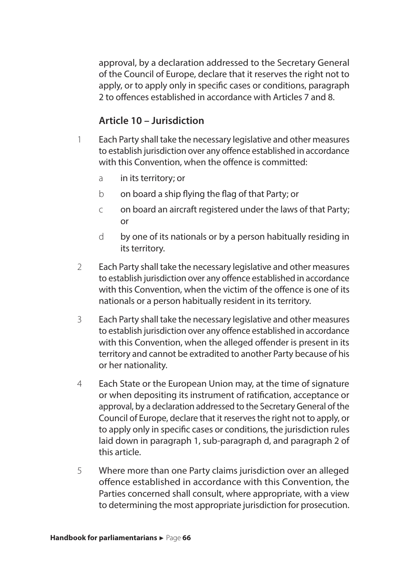approval, by a declaration addressed to the Secretary General of the Council of Europe, declare that it reserves the right not to apply, or to apply only in specific cases or conditions, paragraph 2 to offences established in accordance with Articles 7 and 8.

#### **Article 10 – Jurisdiction**

- 1 Each Party shall take the necessary legislative and other measures to establish jurisdiction over any offence established in accordance with this Convention, when the offence is committed:
	- a in its territory; or
	- b on board a ship flying the flag of that Party; or
	- c on board an aircraft registered under the laws of that Party; or
	- d by one of its nationals or by a person habitually residing in its territory.
- 2 Each Party shall take the necessary legislative and other measures to establish jurisdiction over any offence established in accordance with this Convention, when the victim of the offence is one of its nationals or a person habitually resident in its territory.
- 3 Each Party shall take the necessary legislative and other measures to establish jurisdiction over any offence established in accordance with this Convention, when the alleged offender is present in its territory and cannot be extradited to another Party because of his or her nationality.
- 4 Each State or the European Union may, at the time of signature or when depositing its instrument of ratification, acceptance or approval, by a declaration addressed to the Secretary General of the Council of Europe, declare that it reserves the right not to apply, or to apply only in specific cases or conditions, the jurisdiction rules laid down in paragraph 1, sub-paragraph d, and paragraph 2 of this article.
- 5 Where more than one Party claims jurisdiction over an alleged offence established in accordance with this Convention, the Parties concerned shall consult, where appropriate, with a view to determining the most appropriate jurisdiction for prosecution.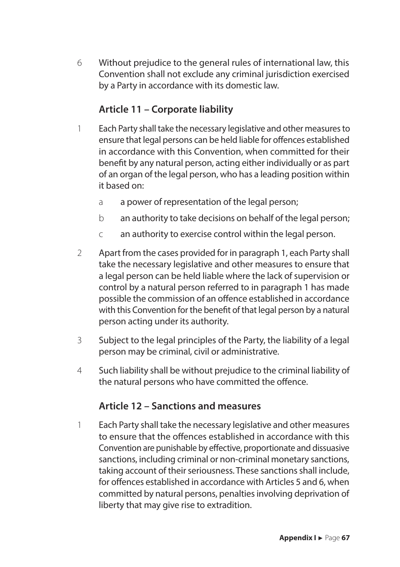6 Without prejudice to the general rules of international law, this Convention shall not exclude any criminal jurisdiction exercised by a Party in accordance with its domestic law.

## **Article 11 – Corporate liability**

- 1 Each Party shall take the necessary legislative and other measures to ensure that legal persons can be held liable for offences established in accordance with this Convention, when committed for their benefit by any natural person, acting either individually or as part of an organ of the legal person, who has a leading position within it based on:
	- a a power of representation of the legal person;
	- b an authority to take decisions on behalf of the legal person;
	- c an authority to exercise control within the legal person.
- 2 Apart from the cases provided for in paragraph 1, each Party shall take the necessary legislative and other measures to ensure that a legal person can be held liable where the lack of supervision or control by a natural person referred to in paragraph 1 has made possible the commission of an offence established in accordance with this Convention for the benefit of that legal person by a natural person acting under its authority.
- 3 Subject to the legal principles of the Party, the liability of a legal person may be criminal, civil or administrative.
- 4 Such liability shall be without prejudice to the criminal liability of the natural persons who have committed the offence.

#### **Article 12 – Sanctions and measures**

1 Each Party shall take the necessary legislative and other measures to ensure that the offences established in accordance with this Convention are punishable by effective, proportionate and dissuasive sanctions, including criminal or non-criminal monetary sanctions, taking account of their seriousness. These sanctions shall include, for offences established in accordance with Articles 5 and 6, when committed by natural persons, penalties involving deprivation of liberty that may give rise to extradition.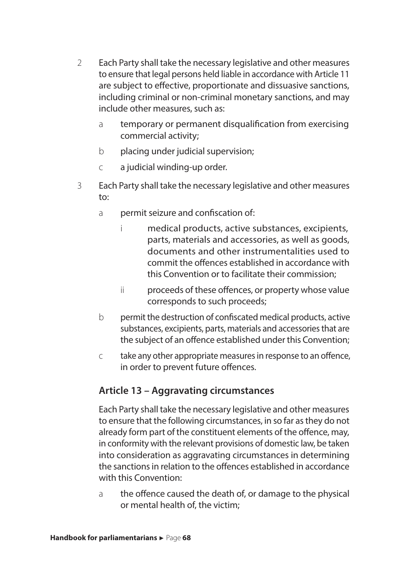- 2 Each Party shall take the necessary legislative and other measures to ensure that legal persons held liable in accordance with Article 11 are subject to effective, proportionate and dissuasive sanctions, including criminal or non-criminal monetary sanctions, and may include other measures, such as:
	- a temporary or permanent disqualification from exercising commercial activity;
	- b placing under judicial supervision;
	- c a judicial winding-up order.
- 3 Each Party shall take the necessary legislative and other measures to:
	- a permit seizure and confiscation of:
		- medical products, active substances, excipients, parts, materials and accessories, as well as goods, documents and other instrumentalities used to commit the offences established in accordance with this Convention or to facilitate their commission;
		- ii proceeds of these offences, or property whose value corresponds to such proceeds;
	- b permit the destruction of confiscated medical products, active substances, excipients, parts, materials and accessories that are the subject of an offence established under this Convention;
	- c take any other appropriate measures in response to an offence, in order to prevent future offences.

## **Article 13 – Aggravating circumstances**

Each Party shall take the necessary legislative and other measures to ensure that the following circumstances, in so far as they do not already form part of the constituent elements of the offence, may, in conformity with the relevant provisions of domestic law, be taken into consideration as aggravating circumstances in determining the sanctions in relation to the offences established in accordance with this Convention:

a the offence caused the death of, or damage to the physical or mental health of, the victim;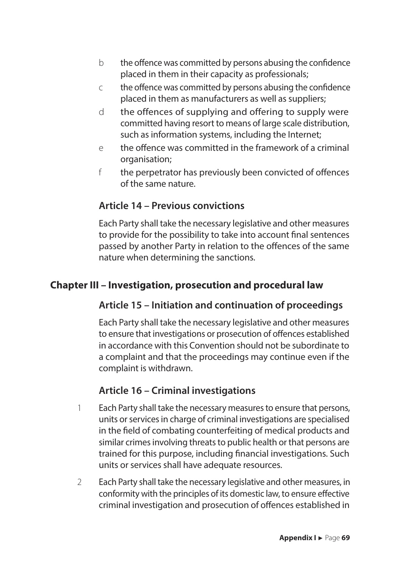- b the offence was committed by persons abusing the confidence placed in them in their capacity as professionals;
- c the offence was committed by persons abusing the confidence placed in them as manufacturers as well as suppliers;
- d the offences of supplying and offering to supply were committed having resort to means of large scale distribution, such as information systems, including the Internet;
- e the offence was committed in the framework of a criminal organisation;
- f the perpetrator has previously been convicted of offences of the same nature.

#### **Article 14 – Previous convictions**

Each Party shall take the necessary legislative and other measures to provide for the possibility to take into account final sentences passed by another Party in relation to the offences of the same nature when determining the sanctions.

## **Chapter III – Investigation, prosecution and procedural law**

#### **Article 15 – Initiation and continuation of proceedings**

Each Party shall take the necessary legislative and other measures to ensure that investigations or prosecution of offences established in accordance with this Convention should not be subordinate to a complaint and that the proceedings may continue even if the complaint is withdrawn.

## **Article 16 – Criminal investigations**

- 1 Each Party shall take the necessary measures to ensure that persons, units or services in charge of criminal investigations are specialised in the field of combating counterfeiting of medical products and similar crimes involving threats to public health or that persons are trained for this purpose, including financial investigations. Such units or services shall have adequate resources.
- 2 Each Party shall take the necessary legislative and other measures, in conformity with the principles of its domestic law, to ensure effective criminal investigation and prosecution of offences established in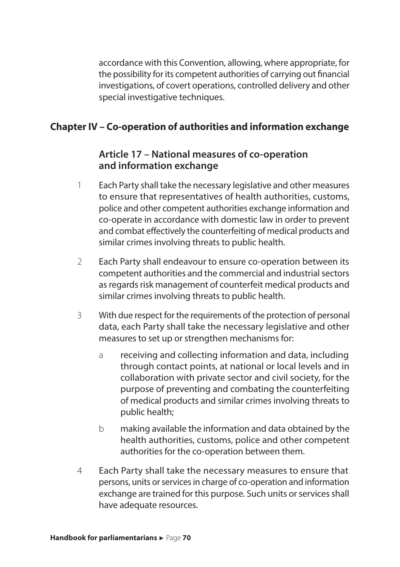accordance with this Convention, allowing, where appropriate, for the possibility for its competent authorities of carrying out financial investigations, of covert operations, controlled delivery and other special investigative techniques.

#### **Chapter IV – Co-operation of authorities and information exchange**

#### **Article 17 – National measures of co-operation and information exchange**

- 1 Each Party shall take the necessary legislative and other measures to ensure that representatives of health authorities, customs, police and other competent authorities exchange information and co-operate in accordance with domestic law in order to prevent and combat effectively the counterfeiting of medical products and similar crimes involving threats to public health.
- 2 Each Party shall endeavour to ensure co-operation between its competent authorities and the commercial and industrial sectors as regards risk management of counterfeit medical products and similar crimes involving threats to public health.
- 3 With due respect for the requirements of the protection of personal data, each Party shall take the necessary legislative and other measures to set up or strengthen mechanisms for:
	- a receiving and collecting information and data, including through contact points, at national or local levels and in collaboration with private sector and civil society, for the purpose of preventing and combating the counterfeiting of medical products and similar crimes involving threats to public health;
	- b making available the information and data obtained by the health authorities, customs, police and other competent authorities for the co-operation between them.
- 4 Each Party shall take the necessary measures to ensure that persons, units or services in charge of co-operation and information exchange are trained for this purpose. Such units or services shall have adequate resources.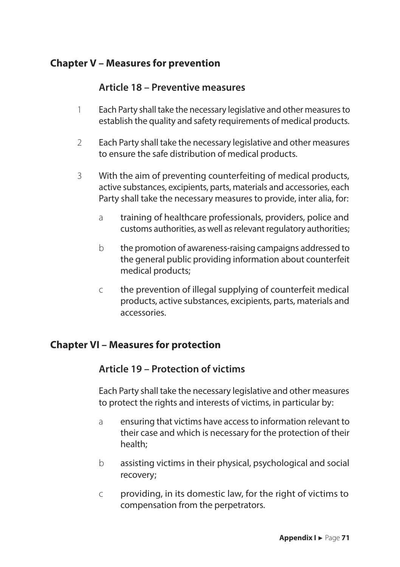### **Chapter V – Measures for prevention**

#### **Article 18 – Preventive measures**

- 1 Each Party shall take the necessary legislative and other measures to establish the quality and safety requirements of medical products.
- 2 Each Party shall take the necessary legislative and other measures to ensure the safe distribution of medical products.
- 3 With the aim of preventing counterfeiting of medical products, active substances, excipients, parts, materials and accessories, each Party shall take the necessary measures to provide, inter alia, for:
	- a training of healthcare professionals, providers, police and customs authorities, as well as relevant regulatory authorities;
	- b the promotion of awareness-raising campaigns addressed to the general public providing information about counterfeit medical products;
	- c the prevention of illegal supplying of counterfeit medical products, active substances, excipients, parts, materials and accessories.

#### **Chapter VI – Measures for protection**

#### **Article 19 – Protection of victims**

Each Party shall take the necessary legislative and other measures to protect the rights and interests of victims, in particular by:

- a ensuring that victims have access to information relevant to their case and which is necessary for the protection of their health;
- b assisting victims in their physical, psychological and social recovery;
- c providing, in its domestic law, for the right of victims to compensation from the perpetrators.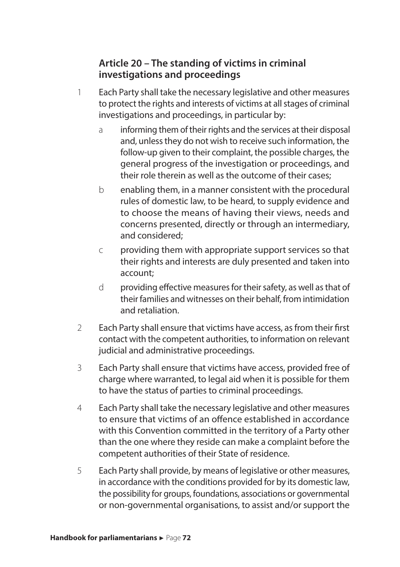#### **Article 20 – The standing of victims in criminal investigations and proceedings**

- 1 Each Party shall take the necessary legislative and other measures to protect the rights and interests of victims at all stages of criminal investigations and proceedings, in particular by:
	- a informing them of their rights and the services at their disposal and, unless they do not wish to receive such information, the follow-up given to their complaint, the possible charges, the general progress of the investigation or proceedings, and their role therein as well as the outcome of their cases;
	- b enabling them, in a manner consistent with the procedural rules of domestic law, to be heard, to supply evidence and to choose the means of having their views, needs and concerns presented, directly or through an intermediary, and considered;
	- c providing them with appropriate support services so that their rights and interests are duly presented and taken into account;
	- d providing effective measures for their safety, as well as that of their families and witnesses on their behalf, from intimidation and retaliation.
- 2 Each Party shall ensure that victims have access, as from their first contact with the competent authorities, to information on relevant judicial and administrative proceedings.
- 3 Each Party shall ensure that victims have access, provided free of charge where warranted, to legal aid when it is possible for them to have the status of parties to criminal proceedings.
- 4 Each Party shall take the necessary legislative and other measures to ensure that victims of an offence established in accordance with this Convention committed in the territory of a Party other than the one where they reside can make a complaint before the competent authorities of their State of residence.
- 5 Each Party shall provide, by means of legislative or other measures, in accordance with the conditions provided for by its domestic law, the possibility for groups, foundations, associations or governmental or non-governmental organisations, to assist and/or support the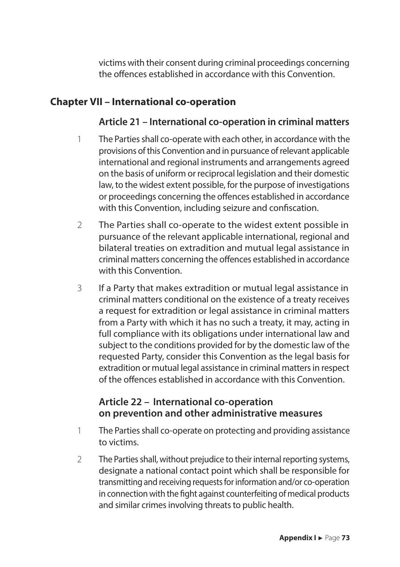victims with their consent during criminal proceedings concerning the offences established in accordance with this Convention.

#### **Chapter VII – International co-operation**

#### **Article 21 – International co-operation in criminal matters**

- 1 The Parties shall co-operate with each other, in accordance with the provisions of this Convention and in pursuance of relevant applicable international and regional instruments and arrangements agreed on the basis of uniform or reciprocal legislation and their domestic law, to the widest extent possible, for the purpose of investigations or proceedings concerning the offences established in accordance with this Convention, including seizure and confiscation.
- 2 The Parties shall co-operate to the widest extent possible in pursuance of the relevant applicable international, regional and bilateral treaties on extradition and mutual legal assistance in criminal matters concerning the offences established in accordance with this Convention.
- 3 If a Party that makes extradition or mutual legal assistance in criminal matters conditional on the existence of a treaty receives a request for extradition or legal assistance in criminal matters from a Party with which it has no such a treaty, it may, acting in full compliance with its obligations under international law and subiect to the conditions provided for by the domestic law of the requested Party, consider this Convention as the legal basis for extradition or mutual legal assistance in criminal matters in respect of the offences established in accordance with this Convention.

#### **Article 22 – International co-operation on prevention and other administrative measures**

- 1 The Parties shall co-operate on protecting and providing assistance to victims.
- 2 The Parties shall, without prejudice to their internal reporting systems, designate a national contact point which shall be responsible for transmitting and receiving requests for information and/or co-operation in connection with the fight against counterfeiting of medical products and similar crimes involving threats to public health.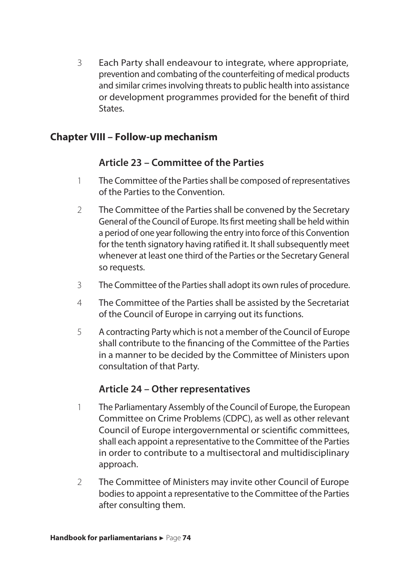3 Each Party shall endeavour to integrate, where appropriate, prevention and combating of the counterfeiting of medical products and similar crimes involving threats to public health into assistance or development programmes provided for the benefit of third States.

#### **Chapter VIII – Follow-up mechanism**

# **Article 23 – Committee of the Parties**

- 1 The Committee of the Parties shall be composed of representatives of the Parties to the Convention.
- 2 The Committee of the Parties shall be convened by the Secretary General of the Council of Europe. Its first meeting shall be held within a period of one year following the entry into force of this Convention for the tenth signatory having ratified it. It shall subsequently meet whenever at least one third of the Parties or the Secretary General so requests.
- 3 The Committee of the Parties shall adopt its own rules of procedure.
- 4 The Committee of the Parties shall be assisted by the Secretariat of the Council of Europe in carrying out its functions.
- 5 A contracting Party which is not a member of the Council of Europe shall contribute to the financing of the Committee of the Parties in a manner to be decided by the Committee of Ministers upon consultation of that Party.

#### **Article 24 – Other representatives**

- 1 The Parliamentary Assembly of the Council of Europe, the European Committee on Crime Problems (CDPC), as well as other relevant Council of Europe intergovernmental or scientific committees, shall each appoint a representative to the Committee of the Parties in order to contribute to a multisectoral and multidisciplinary approach.
- 2 The Committee of Ministers may invite other Council of Europe bodies to appoint a representative to the Committee of the Parties after consulting them.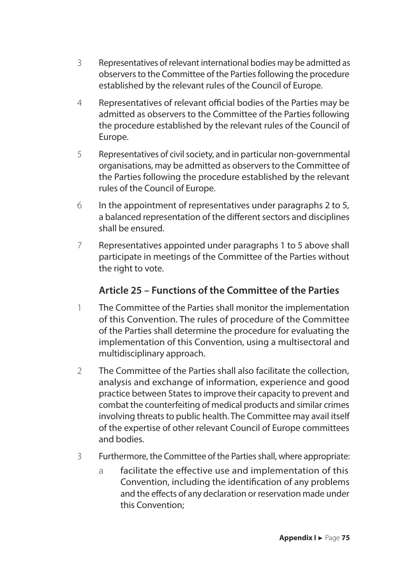- 3 Representatives of relevant international bodies may be admitted as observers to the Committee of the Parties following the procedure established by the relevant rules of the Council of Europe.
- 4 Representatives of relevant official bodies of the Parties may be admitted as observers to the Committee of the Parties following the procedure established by the relevant rules of the Council of Europe.
- 5 Representatives of civil society, and in particular non-governmental organisations, may be admitted as observers to the Committee of the Parties following the procedure established by the relevant rules of the Council of Europe.
- 6 In the appointment of representatives under paragraphs 2 to 5, a balanced representation of the different sectors and disciplines shall be ensured.
- 7 Representatives appointed under paragraphs 1 to 5 above shall participate in meetings of the Committee of the Parties without the right to vote.

# **Article 25 – Functions of the Committee of the Parties**

- 1 The Committee of the Parties shall monitor the implementation of this Convention. The rules of procedure of the Committee of the Parties shall determine the procedure for evaluating the implementation of this Convention, using a multisectoral and multidisciplinary approach.
- 2 The Committee of the Parties shall also facilitate the collection, analysis and exchange of information, experience and good practice between States to improve their capacity to prevent and combat the counterfeiting of medical products and similar crimes involving threats to public health. The Committee may avail itself of the expertise of other relevant Council of Europe committees and bodies.
- 3 Furthermore, the Committee of the Parties shall, where appropriate:
	- a facilitate the effective use and implementation of this Convention, including the identification of any problems and the effects of any declaration or reservation made under this Convention;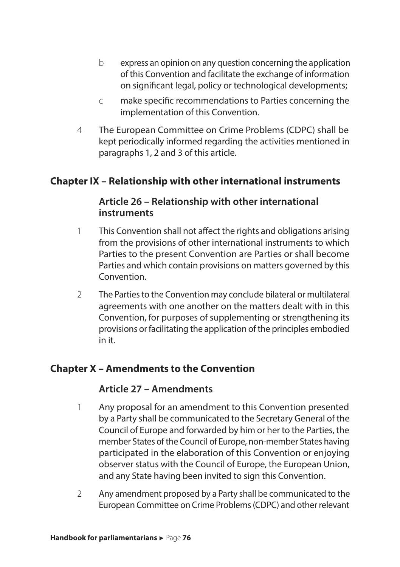- b express an opinion on any question concerning the application of this Convention and facilitate the exchange of information on significant legal, policy or technological developments;
- c make specific recommendations to Parties concerning the implementation of this Convention.
- 4 The European Committee on Crime Problems (CDPC) shall be kept periodically informed regarding the activities mentioned in paragraphs 1, 2 and 3 of this article.

#### **Chapter IX – Relationship with other international instruments**

#### **Article 26 – Relationship with other international instruments**

- 1 This Convention shall not affect the rights and obligations arising from the provisions of other international instruments to which Parties to the present Convention are Parties or shall become Parties and which contain provisions on matters governed by this Convention.
- 2 The Parties to the Convention may conclude bilateral or multilateral agreements with one another on the matters dealt with in this Convention, for purposes of supplementing or strengthening its provisions or facilitating the application of the principles embodied in it.

#### **Chapter X – Amendments to the Convention**

#### **Article 27 – Amendments**

- 1 Any proposal for an amendment to this Convention presented by a Party shall be communicated to the Secretary General of the Council of Europe and forwarded by him or her to the Parties, the member States of the Council of Europe, non-member States having participated in the elaboration of this Convention or enjoying observer status with the Council of Europe, the European Union, and any State having been invited to sign this Convention.
- 2 Any amendment proposed by a Party shall be communicated to the European Committee on Crime Problems (CDPC) and other relevant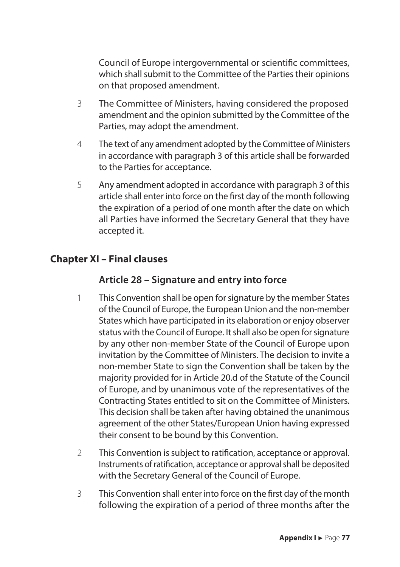Council of Europe intergovernmental or scientific committees, which shall submit to the Committee of the Parties their opinions on that proposed amendment.

- 3 The Committee of Ministers, having considered the proposed amendment and the opinion submitted by the Committee of the Parties, may adopt the amendment.
- 4 The text of any amendment adopted by the Committee of Ministers in accordance with paragraph 3 of this article shall be forwarded to the Parties for acceptance.
- 5 Any amendment adopted in accordance with paragraph 3 of this article shall enter into force on the first day of the month following the expiration of a period of one month after the date on which all Parties have informed the Secretary General that they have accepted it.

# **Chapter XI – Final clauses**

#### **Article 28 – Signature and entry into force**

- 1 This Convention shall be open for signature by the member States of the Council of Europe, the European Union and the non-member States which have participated in its elaboration or enjoy observer status with the Council of Europe. It shall also be open for signature by any other non-member State of the Council of Europe upon invitation by the Committee of Ministers. The decision to invite a non-member State to sign the Convention shall be taken by the majority provided for in Article 20.d of the Statute of the Council of Europe, and by unanimous vote of the representatives of the Contracting States entitled to sit on the Committee of Ministers. This decision shall be taken after having obtained the unanimous agreement of the other States/European Union having expressed their consent to be bound by this Convention.
- 2 This Convention is subject to ratification, acceptance or approval. Instruments of ratification, acceptance or approval shall be deposited with the Secretary General of the Council of Europe.
- 3 This Convention shall enter into force on the first day of the month following the expiration of a period of three months after the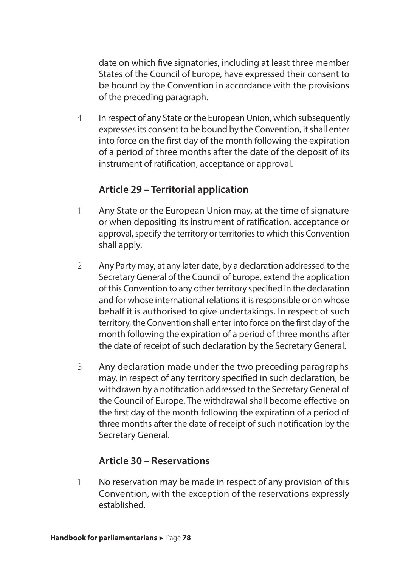date on which five signatories, including at least three member States of the Council of Europe, have expressed their consent to be bound by the Convention in accordance with the provisions of the preceding paragraph.

4 In respect of any State or the European Union, which subsequently expresses its consent to be bound by the Convention, it shall enter into force on the first day of the month following the expiration of a period of three months after the date of the deposit of its instrument of ratification, acceptance or approval.

#### **Article 29 – Territorial application**

- 1 Any State or the European Union may, at the time of signature or when depositing its instrument of ratification, acceptance or approval, specify the territory or territories to which this Convention shall apply.
- 2 Any Party may, at any later date, by a declaration addressed to the Secretary General of the Council of Europe, extend the application of this Convention to any other territory specified in the declaration and for whose international relations it is responsible or on whose behalf it is authorised to give undertakings. In respect of such territory, the Convention shall enter into force on the first day of the month following the expiration of a period of three months after the date of receipt of such declaration by the Secretary General.
- 3 Any declaration made under the two preceding paragraphs may, in respect of any territory specified in such declaration, be withdrawn by a notification addressed to the Secretary General of the Council of Europe. The withdrawal shall become effective on the first day of the month following the expiration of a period of three months after the date of receipt of such notification by the Secretary General.

# **Article 30 – Reservations**

1 No reservation may be made in respect of any provision of this Convention, with the exception of the reservations expressly established.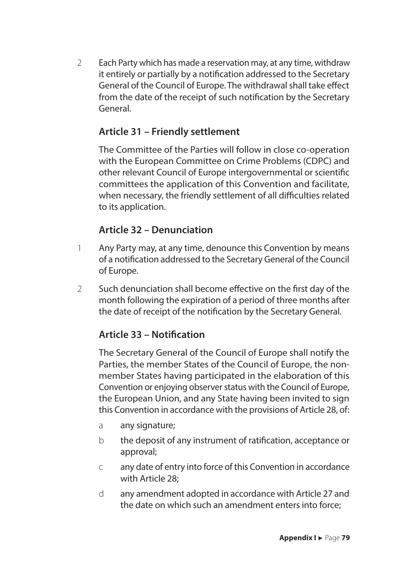2 Each Party which has made a reservation may, at any time, withdraw it entirely or partially by a notification addressed to the Secretary General of the Council of Europe. The withdrawal shall take effect from the date of the receipt of such notification by the Secretary General.

#### **Article 31 – Friendly settlement**

The Committee of the Parties will follow in close co-operation with the European Committee on Crime Problems (CDPC) and other relevant Council of Europe intergovernmental or scientific committees the application of this Convention and facilitate, when necessary, the friendly settlement of all difficulties related to its application.

# **Article 32 – Denunciation**

- 1 Any Party may, at any time, denounce this Convention by means of a notification addressed to the Secretary General of the Council of Europe.
- 2 Such denunciation shall become effective on the first day of the month following the expiration of a period of three months after the date of receipt of the notification by the Secretary General.

#### **Article 33 – Notification**

The Secretary General of the Council of Europe shall notify the Parties, the member States of the Council of Europe, the nonmember States having participated in the elaboration of this Convention or enjoying observer status with the Council of Europe, the European Union, and any State having been invited to sign this Convention in accordance with the provisions of Article 28, of:

- a any signature;
- b the deposit of any instrument of ratification, acceptance or approval;
- c any date of entry into force of this Convention in accordance with Article 28;
- d any amendment adopted in accordance with Article 27 and the date on which such an amendment enters into force;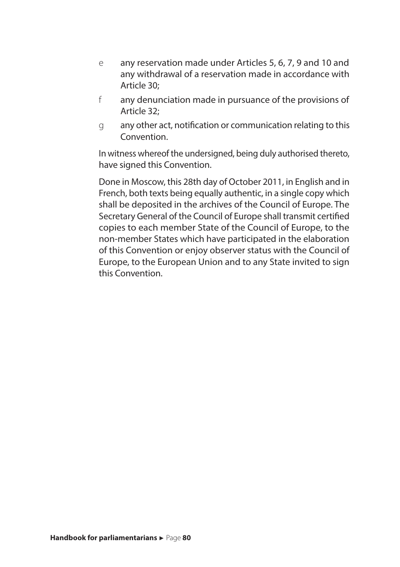- e any reservation made under Articles 5, 6, 7, 9 and 10 and any withdrawal of a reservation made in accordance with Article 30;
- f any denunciation made in pursuance of the provisions of Article 32;
- g any other act, notification or communication relating to this Convention.

In witness whereof the undersigned, being duly authorised thereto, have signed this Convention.

Done in Moscow, this 28th day of October 2011, in English and in French, both texts being equally authentic, in a single copy which shall be deposited in the archives of the Council of Europe. The Secretary General of the Council of Europe shall transmit certified copies to each member State of the Council of Europe, to the non-member States which have participated in the elaboration of this Convention or enjoy observer status with the Council of Europe, to the European Union and to any State invited to sign this Convention.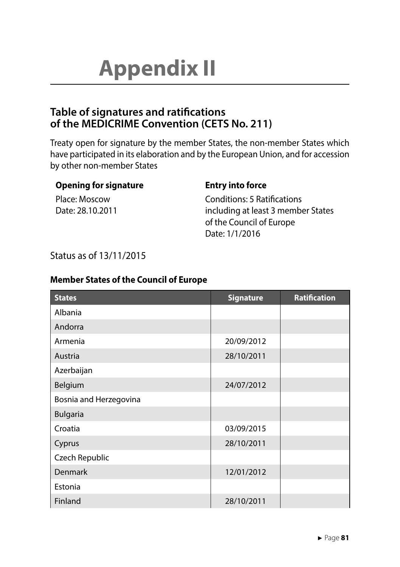# **Appendix II**

# **Table of signatures and ratifications of the MEDICRIME Convention (CETS No. 211)**

Treaty open for signature by the member States, the non-member States which have participated in its elaboration and by the European Union, and for accession by other non-member States

#### **Opening for signature**

#### **Entry into force**

Place: Moscow Date: 28.10.2011 Conditions: 5 Ratifications including at least 3 member States of the Council of Europe Date: 1/1/2016

# Status as of 13/11/2015

#### **Member States of the Council of Europe**

| <b>States</b>          | <b>Signature</b> | <b>Ratification</b> |
|------------------------|------------------|---------------------|
| Albania                |                  |                     |
| Andorra                |                  |                     |
| Armenia                | 20/09/2012       |                     |
| Austria                | 28/10/2011       |                     |
| Azerbaijan             |                  |                     |
| Belgium                | 24/07/2012       |                     |
| Bosnia and Herzegovina |                  |                     |
| <b>Bulgaria</b>        |                  |                     |
| Croatia                | 03/09/2015       |                     |
| Cyprus                 | 28/10/2011       |                     |
| Czech Republic         |                  |                     |
| Denmark                | 12/01/2012       |                     |
| Estonia                |                  |                     |
| Finland                | 28/10/2011       |                     |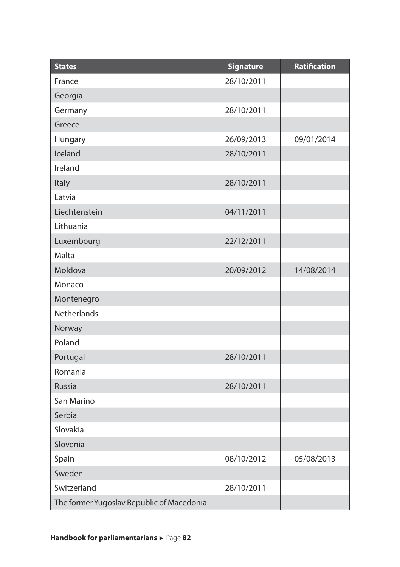| <b>States</b>                             | <b>Signature</b> | <b>Ratification</b> |
|-------------------------------------------|------------------|---------------------|
| France                                    | 28/10/2011       |                     |
| Georgia                                   |                  |                     |
| Germany                                   | 28/10/2011       |                     |
| Greece                                    |                  |                     |
| Hungary                                   | 26/09/2013       | 09/01/2014          |
| Iceland                                   | 28/10/2011       |                     |
| Ireland                                   |                  |                     |
| Italy                                     | 28/10/2011       |                     |
| Latvia                                    |                  |                     |
| Liechtenstein                             | 04/11/2011       |                     |
| Lithuania                                 |                  |                     |
| Luxembourg                                | 22/12/2011       |                     |
| Malta                                     |                  |                     |
| Moldova                                   | 20/09/2012       | 14/08/2014          |
| Monaco                                    |                  |                     |
| Montenegro                                |                  |                     |
| Netherlands                               |                  |                     |
| Norway                                    |                  |                     |
| Poland                                    |                  |                     |
| Portugal                                  | 28/10/2011       |                     |
| Romania                                   |                  |                     |
| Russia                                    | 28/10/2011       |                     |
| San Marino                                |                  |                     |
| Serbia                                    |                  |                     |
| Slovakia                                  |                  |                     |
| Slovenia                                  |                  |                     |
| Spain                                     | 08/10/2012       | 05/08/2013          |
| Sweden                                    |                  |                     |
| Switzerland                               | 28/10/2011       |                     |
| The former Yugoslav Republic of Macedonia |                  |                     |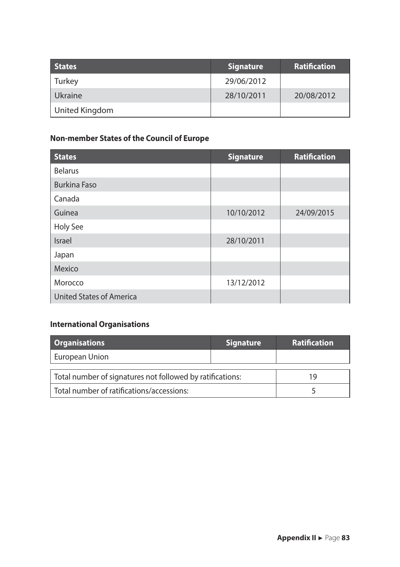| States         | <b>Signature</b> | <b>Ratification</b> |
|----------------|------------------|---------------------|
| Turkey         | 29/06/2012       |                     |
| Ukraine        | 28/10/2011       | 20/08/2012          |
| United Kingdom |                  |                     |

# **Non-member States of the Council of Europe**

| <b>States</b>                   | <b>Signature</b> | <b>Ratification</b> |
|---------------------------------|------------------|---------------------|
| <b>Belarus</b>                  |                  |                     |
| <b>Burkina Faso</b>             |                  |                     |
| Canada                          |                  |                     |
| Guinea                          | 10/10/2012       | 24/09/2015          |
| Holy See                        |                  |                     |
| <b>Israel</b>                   | 28/10/2011       |                     |
| Japan                           |                  |                     |
| Mexico                          |                  |                     |
| Morocco                         | 13/12/2012       |                     |
| <b>United States of America</b> |                  |                     |

# **International Organisations**

| <b>Organisations</b>                                      | <b>Signature</b> | <b>Ratification</b> |
|-----------------------------------------------------------|------------------|---------------------|
| European Union                                            |                  |                     |
|                                                           |                  |                     |
| Total number of signatures not followed by ratifications: |                  | 1 Q                 |
| Total number of ratifications/accessions:                 |                  |                     |